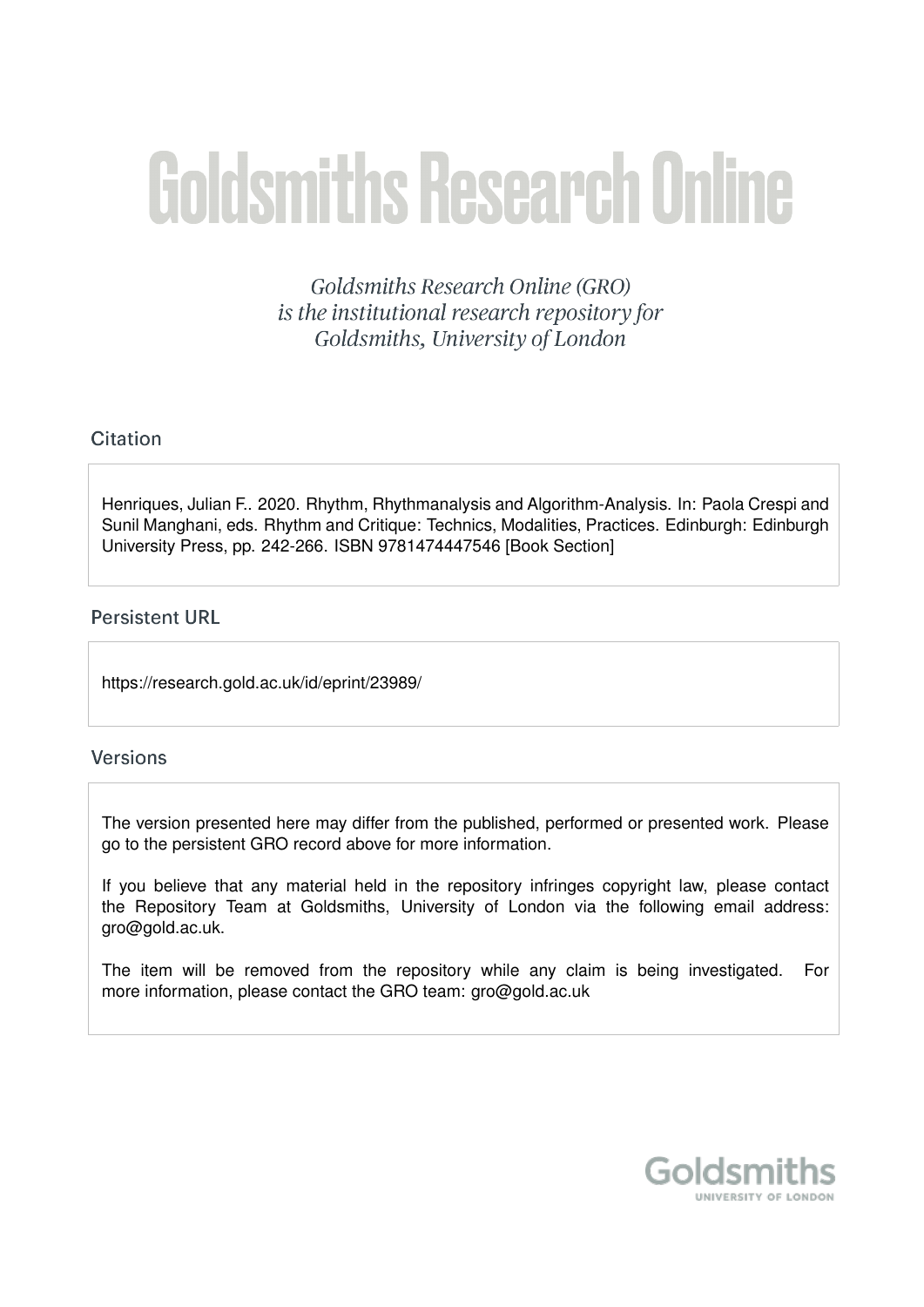# **Goldsmiths Research Online**

Goldsmiths Research Online (GRO) is the institutional research repository for Goldsmiths, University of London

# Citation

Henriques, Julian F.. 2020. Rhythm, Rhythmanalysis and Algorithm-Analysis. In: Paola Crespi and Sunil Manghani, eds. Rhythm and Critique: Technics, Modalities, Practices, Edinburgh: Edinburgh University Press, pp. 242-266. ISBN 9781474447546 [Book Section]

# **Persistent URL**

https://research.gold.ac.uk/id/eprint/23989/

### **Versions**

The version presented here may differ from the published, performed or presented work. Please go to the persistent GRO record above for more information.

If you believe that any material held in the repository infringes copyright law, please contact the Repository Team at Goldsmiths, University of London via the following email address: gro@gold.ac.uk.

The item will be removed from the repository while any claim is being investigated. For more information, please contact the GRO team: gro@gold.ac.uk

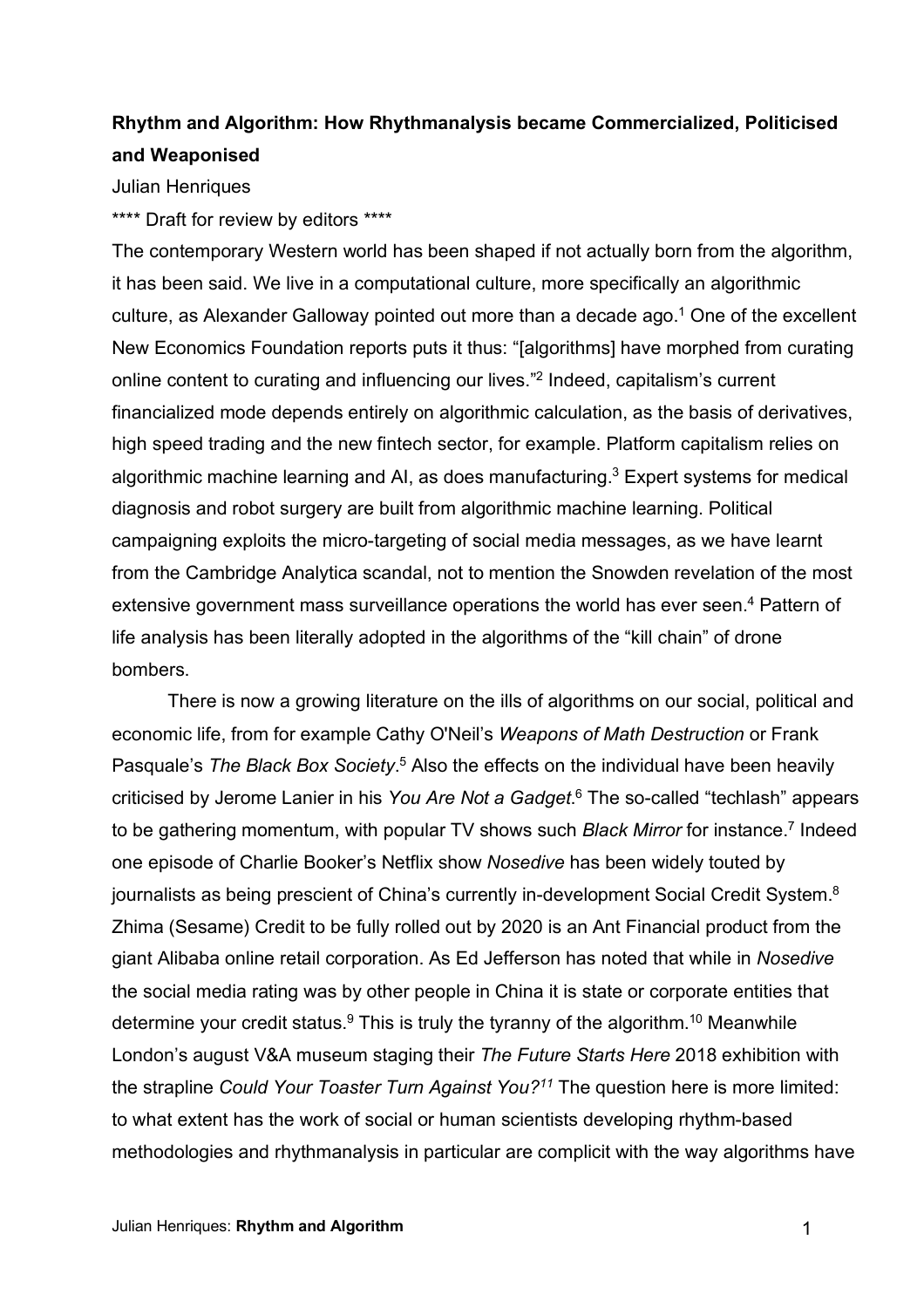# **Rhythm and Algorithm: How Rhythmanalysis became Commercialized, Politicised and Weaponised**

Julian Henriques

\*\*\*\* Draft for review by editors \*\*\*\*

The contemporary Western world has been shaped if not actually born from the algorithm, it has been said. We live in a computational culture, more specifically an algorithmic culture, as Alexander Galloway pointed out more than a decade ago.<sup>1</sup> One of the excellent New Economics Foundation reports puts it thus: "[algorithms] have morphed from curating online content to curating and influencing our lives."2 Indeed, capitalism's current financialized mode depends entirely on algorithmic calculation, as the basis of derivatives, high speed trading and the new fintech sector, for example. Platform capitalism relies on algorithmic machine learning and AI, as does manufacturing.<sup>3</sup> Expert systems for medical diagnosis and robot surgery are built from algorithmic machine learning. Political campaigning exploits the micro-targeting of social media messages, as we have learnt from the Cambridge Analytica scandal, not to mention the Snowden revelation of the most extensive government mass surveillance operations the world has ever seen.<sup>4</sup> Pattern of life analysis has been literally adopted in the algorithms of the "kill chain" of drone bombers.

There is now a growing literature on the ills of algorithms on our social, political and economic life, from for example Cathy O'Neil's *Weapons of Math Destruction* or Frank Pasquale's The Black Box Society.<sup>5</sup> Also the effects on the individual have been heavily criticised by Jerome Lanier in his *You Are Not a Gadget*. <sup>6</sup> The so-called "techlash" appears to be gathering momentum, with popular TV shows such *Black Mirror* for instance. <sup>7</sup> Indeed one episode of Charlie Booker's Netflix show *Nosedive* has been widely touted by journalists as being prescient of China's currently in-development Social Credit System.<sup>8</sup> Zhima (Sesame) Credit to be fully rolled out by 2020 is an Ant Financial product from the giant Alibaba online retail corporation. As Ed Jefferson has noted that while in *Nosedive* the social media rating was by other people in China it is state or corporate entities that determine your credit status. $9$  This is truly the tyranny of the algorithm.<sup>10</sup> Meanwhile London's august V&A museum staging their *The Future Starts Here* 2018 exhibition with the strapline *Could Your Toaster Turn Against You?11* The question here is more limited: to what extent has the work of social or human scientists developing rhythm-based methodologies and rhythmanalysis in particular are complicit with the way algorithms have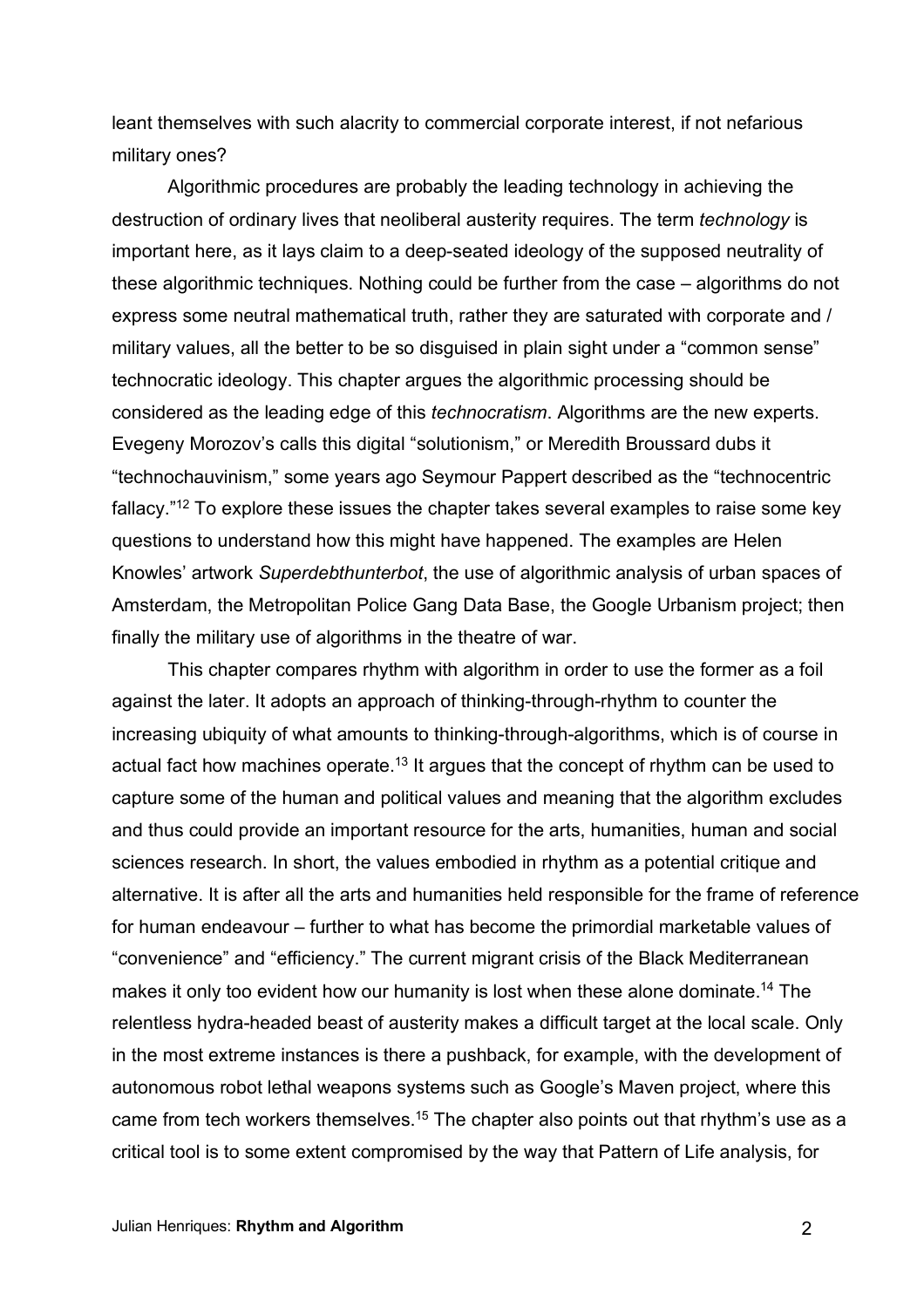leant themselves with such alacrity to commercial corporate interest, if not nefarious military ones?

Algorithmic procedures are probably the leading technology in achieving the destruction of ordinary lives that neoliberal austerity requires. The term *technology* is important here, as it lays claim to a deep-seated ideology of the supposed neutrality of these algorithmic techniques. Nothing could be further from the case – algorithms do not express some neutral mathematical truth, rather they are saturated with corporate and / military values, all the better to be so disguised in plain sight under a "common sense" technocratic ideology. This chapter argues the algorithmic processing should be considered as the leading edge of this *technocratism*. Algorithms are the new experts. Evegeny Morozov's calls this digital "solutionism," or Meredith Broussard dubs it "technochauvinism," some years ago Seymour Pappert described as the "technocentric fallacy."12 To explore these issues the chapter takes several examples to raise some key questions to understand how this might have happened. The examples are Helen Knowles' artwork *Superdebthunterbot*, the use of algorithmic analysis of urban spaces of Amsterdam, the Metropolitan Police Gang Data Base, the Google Urbanism project; then finally the military use of algorithms in the theatre of war.

This chapter compares rhythm with algorithm in order to use the former as a foil against the later. It adopts an approach of thinking-through-rhythm to counter the increasing ubiquity of what amounts to thinking-through-algorithms, which is of course in actual fact how machines operate.<sup>13</sup> It argues that the concept of rhythm can be used to capture some of the human and political values and meaning that the algorithm excludes and thus could provide an important resource for the arts, humanities, human and social sciences research. In short, the values embodied in rhythm as a potential critique and alternative. It is after all the arts and humanities held responsible for the frame of reference for human endeavour – further to what has become the primordial marketable values of "convenience" and "efficiency." The current migrant crisis of the Black Mediterranean makes it only too evident how our humanity is lost when these alone dominate.<sup>14</sup> The relentless hydra-headed beast of austerity makes a difficult target at the local scale. Only in the most extreme instances is there a pushback, for example, with the development of autonomous robot lethal weapons systems such as Google's Maven project, where this came from tech workers themselves.<sup>15</sup> The chapter also points out that rhythm's use as a critical tool is to some extent compromised by the way that Pattern of Life analysis, for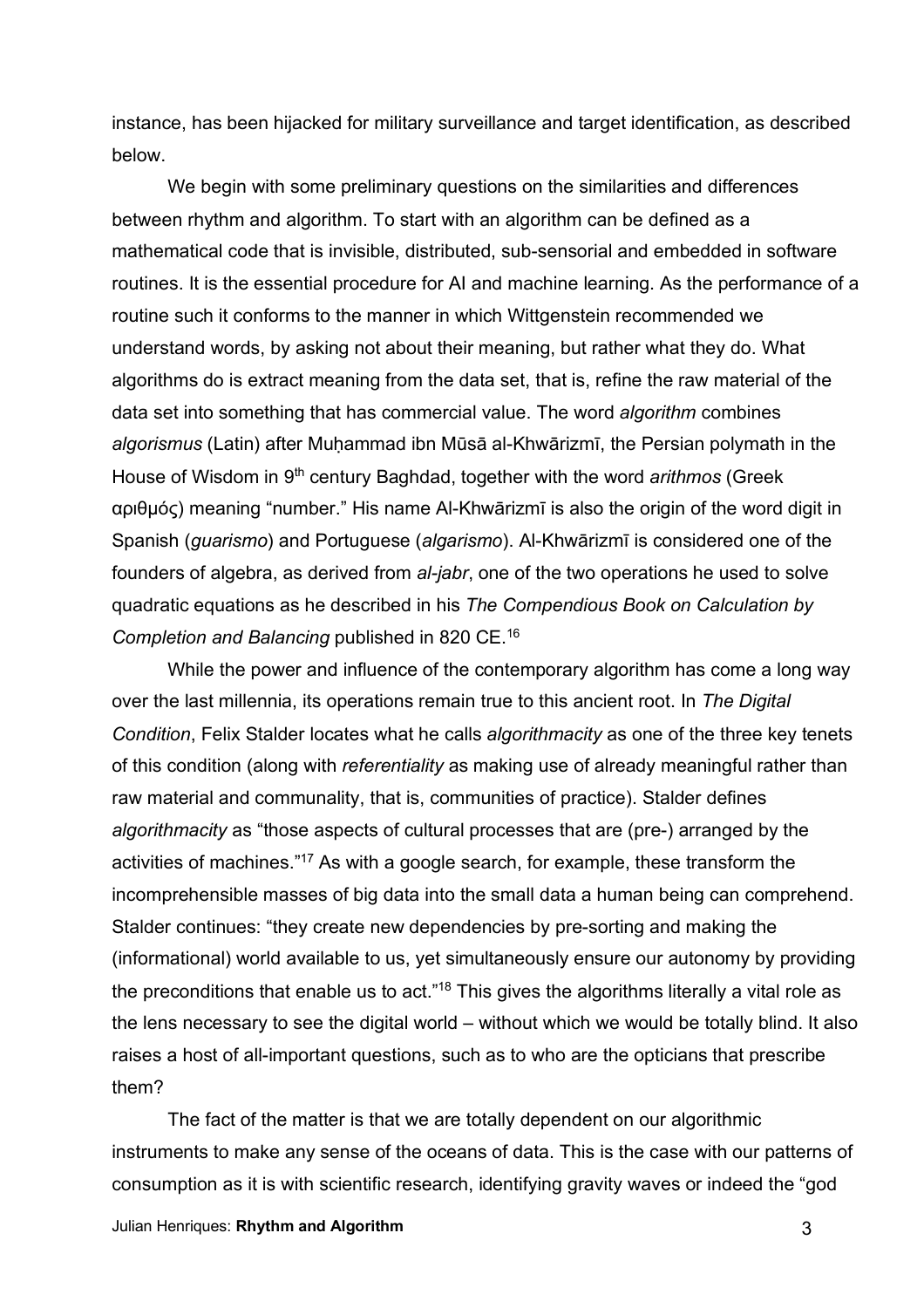instance, has been hijacked for military surveillance and target identification, as described below.

We begin with some preliminary questions on the similarities and differences between rhythm and algorithm. To start with an algorithm can be defined as a mathematical code that is invisible, distributed, sub-sensorial and embedded in software routines. It is the essential procedure for AI and machine learning. As the performance of a routine such it conforms to the manner in which Wittgenstein recommended we understand words, by asking not about their meaning, but rather what they do. What algorithms do is extract meaning from the data set, that is, refine the raw material of the data set into something that has commercial value. The word *algorithm* combines *algorismus* (Latin) after Muḥammad ibn Mūsā al-Khwārizmī, the Persian polymath in the House of Wisdom in 9th century Baghdad, together with the word *arithmos* (Greek αριθμός) meaning "number." His name Al-Khwārizmī is also the origin of the word digit in Spanish (*guarismo*) and Portuguese (*algarismo*). Al-Khwārizmī is considered one of the founders of algebra, as derived from *al-jabr*, one of the two operations he used to solve quadratic equations as he described in his *The Compendious Book on Calculation by Completion and Balancing* published in 820 CE.16

While the power and influence of the contemporary algorithm has come a long way over the last millennia, its operations remain true to this ancient root. In *The Digital Condition*, Felix Stalder locates what he calls *algorithmacity* as one of the three key tenets of this condition (along with *referentiality* as making use of already meaningful rather than raw material and communality, that is, communities of practice). Stalder defines *algorithmacity* as "those aspects of cultural processes that are (pre-) arranged by the activities of machines."17 As with a google search, for example, these transform the incomprehensible masses of big data into the small data a human being can comprehend. Stalder continues: "they create new dependencies by pre-sorting and making the (informational) world available to us, yet simultaneously ensure our autonomy by providing the preconditions that enable us to act."<sup>18</sup> This gives the algorithms literally a vital role as the lens necessary to see the digital world – without which we would be totally blind. It also raises a host of all-important questions, such as to who are the opticians that prescribe them?

The fact of the matter is that we are totally dependent on our algorithmic instruments to make any sense of the oceans of data. This is the case with our patterns of consumption as it is with scientific research, identifying gravity waves or indeed the "god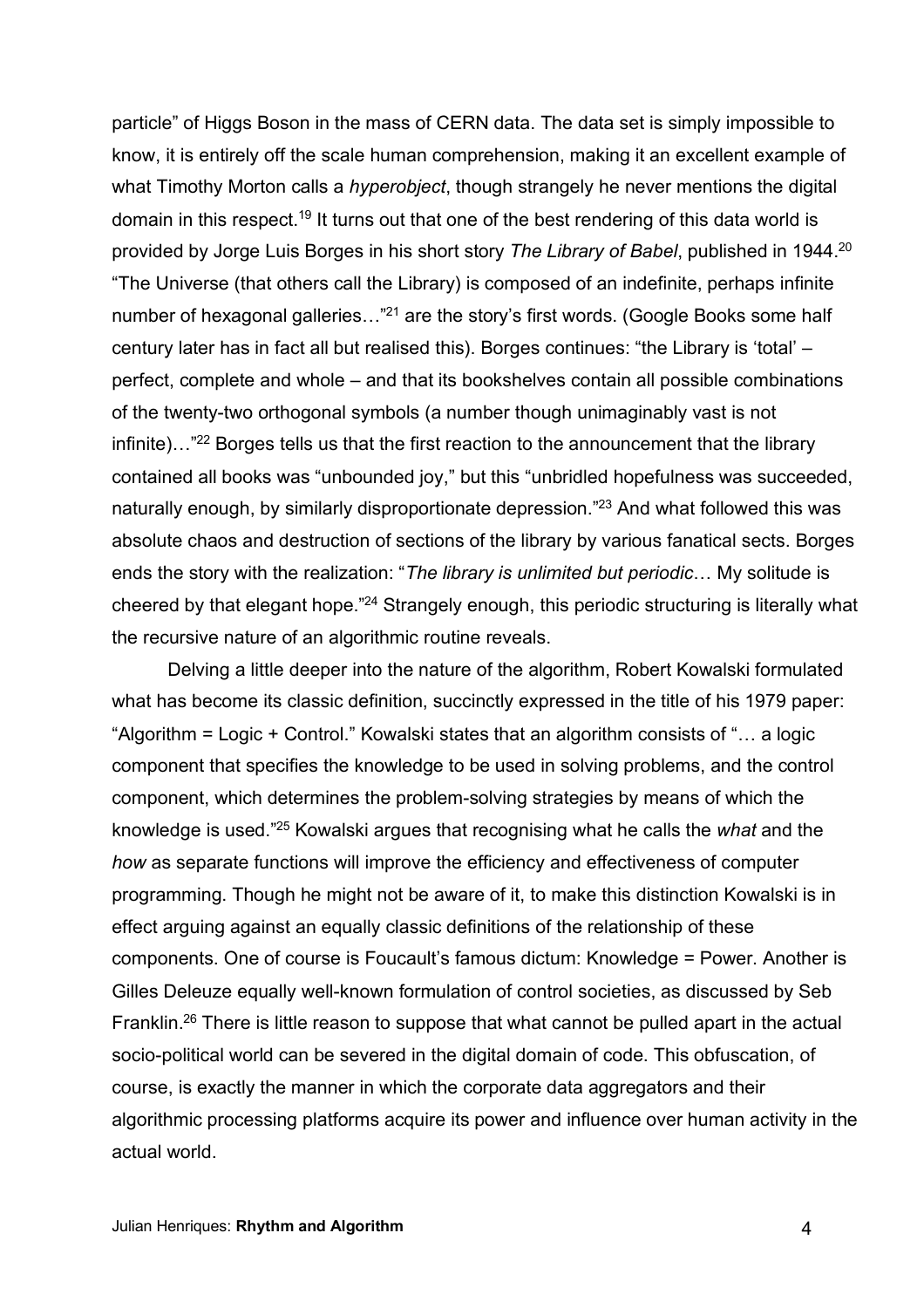particle" of Higgs Boson in the mass of CERN data. The data set is simply impossible to know, it is entirely off the scale human comprehension, making it an excellent example of what Timothy Morton calls a *hyperobject*, though strangely he never mentions the digital domain in this respect.<sup>19</sup> It turns out that one of the best rendering of this data world is provided by Jorge Luis Borges in his short story *The Library of Babel*, published in 1944.20 "The Universe (that others call the Library) is composed of an indefinite, perhaps infinite number of hexagonal galleries..."<sup>21</sup> are the story's first words. (Google Books some half century later has in fact all but realised this). Borges continues: "the Library is 'total' – perfect, complete and whole – and that its bookshelves contain all possible combinations of the twenty-two orthogonal symbols (a number though unimaginably vast is not infinite)..."<sup>22</sup> Borges tells us that the first reaction to the announcement that the library contained all books was "unbounded joy," but this "unbridled hopefulness was succeeded, naturally enough, by similarly disproportionate depression."23 And what followed this was absolute chaos and destruction of sections of the library by various fanatical sects. Borges ends the story with the realization: "*The library is unlimited but periodic*… My solitude is cheered by that elegant hope."<sup>24</sup> Strangely enough, this periodic structuring is literally what the recursive nature of an algorithmic routine reveals.

Delving a little deeper into the nature of the algorithm, Robert Kowalski formulated what has become its classic definition, succinctly expressed in the title of his 1979 paper: "Algorithm = Logic + Control." Kowalski states that an algorithm consists of "… a logic component that specifies the knowledge to be used in solving problems, and the control component, which determines the problem-solving strategies by means of which the knowledge is used."25 Kowalski argues that recognising what he calls the *what* and the *how* as separate functions will improve the efficiency and effectiveness of computer programming. Though he might not be aware of it, to make this distinction Kowalski is in effect arguing against an equally classic definitions of the relationship of these components. One of course is Foucault's famous dictum: Knowledge = Power. Another is Gilles Deleuze equally well-known formulation of control societies, as discussed by Seb Franklin.<sup>26</sup> There is little reason to suppose that what cannot be pulled apart in the actual socio-political world can be severed in the digital domain of code. This obfuscation, of course, is exactly the manner in which the corporate data aggregators and their algorithmic processing platforms acquire its power and influence over human activity in the actual world.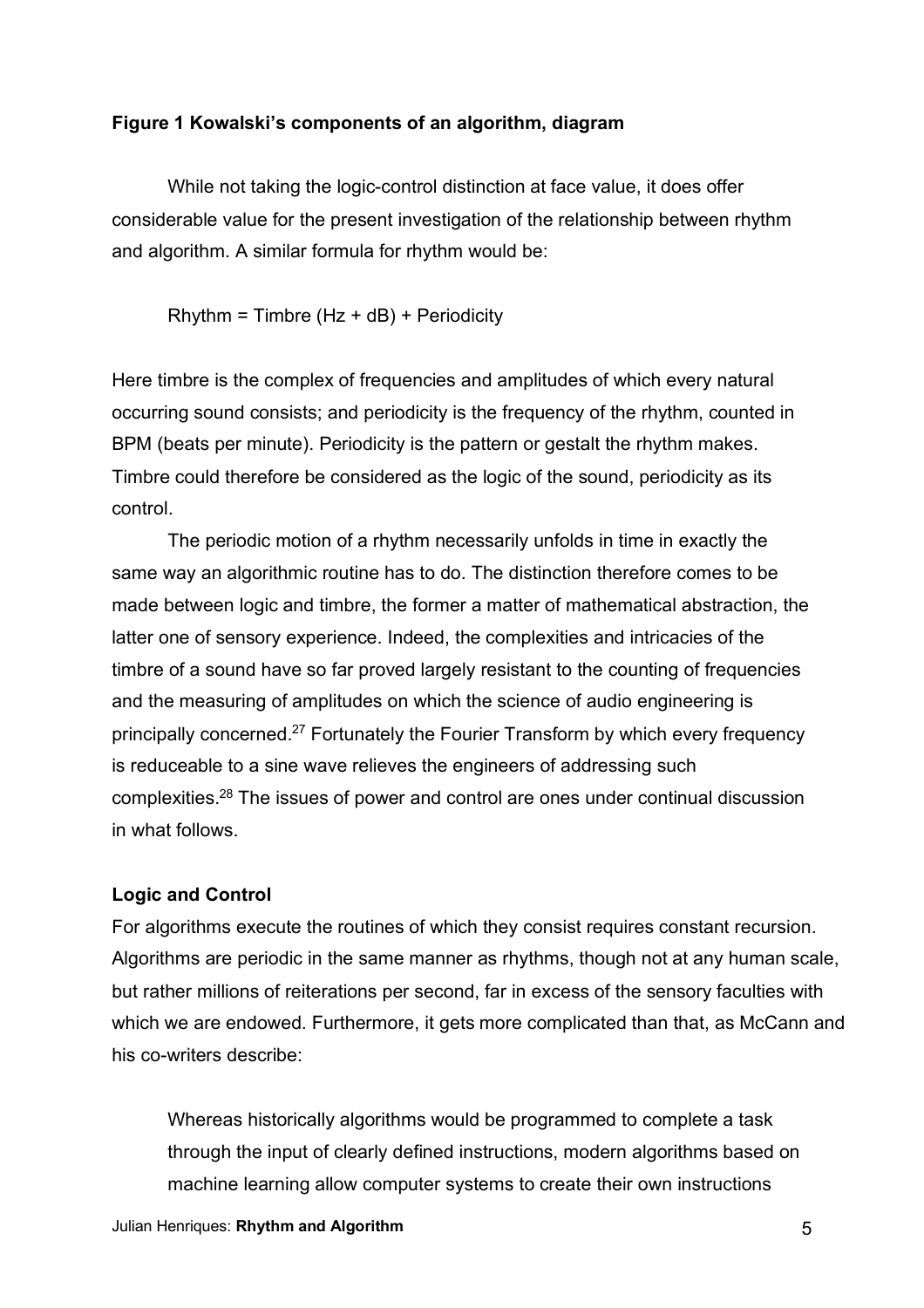## **Figure 1 Kowalski's components of an algorithm, diagram**

While not taking the logic-control distinction at face value, it does offer considerable value for the present investigation of the relationship between rhythm and algorithm. A similar formula for rhythm would be:

 $R$ hythm = Timbre (Hz + dB) + Periodicity

Here timbre is the complex of frequencies and amplitudes of which every natural occurring sound consists; and periodicity is the frequency of the rhythm, counted in BPM (beats per minute). Periodicity is the pattern or gestalt the rhythm makes. Timbre could therefore be considered as the logic of the sound, periodicity as its control.

The periodic motion of a rhythm necessarily unfolds in time in exactly the same way an algorithmic routine has to do. The distinction therefore comes to be made between logic and timbre, the former a matter of mathematical abstraction, the latter one of sensory experience. Indeed, the complexities and intricacies of the timbre of a sound have so far proved largely resistant to the counting of frequencies and the measuring of amplitudes on which the science of audio engineering is principally concerned.27 Fortunately the Fourier Transform by which every frequency is reduceable to a sine wave relieves the engineers of addressing such complexities.28 The issues of power and control are ones under continual discussion in what follows.

# **Logic and Control**

For algorithms execute the routines of which they consist requires constant recursion. Algorithms are periodic in the same manner as rhythms, though not at any human scale, but rather millions of reiterations per second, far in excess of the sensory faculties with which we are endowed. Furthermore, it gets more complicated than that, as McCann and his co-writers describe:

Whereas historically algorithms would be programmed to complete a task through the input of clearly defined instructions, modern algorithms based on machine learning allow computer systems to create their own instructions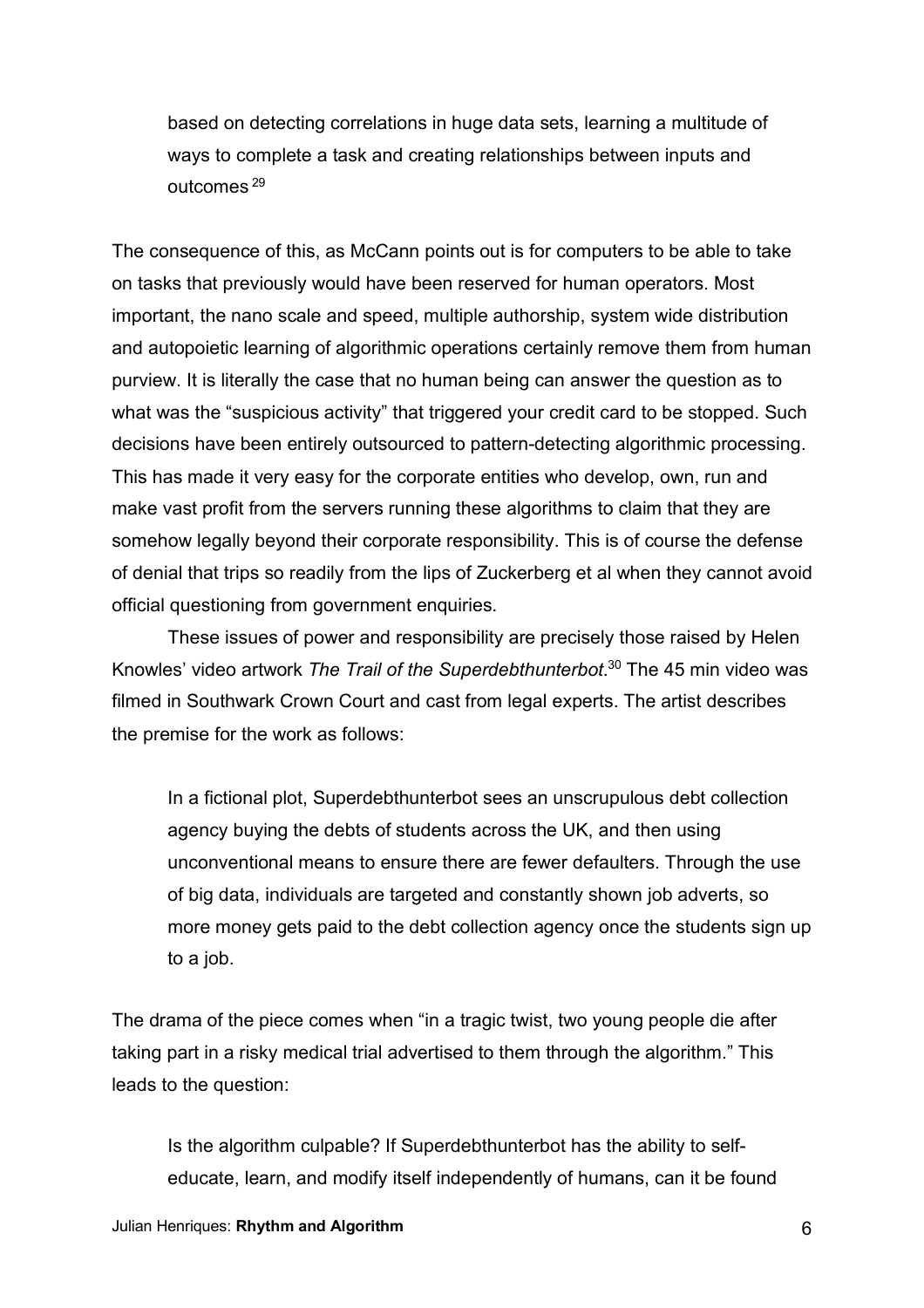based on detecting correlations in huge data sets, learning a multitude of ways to complete a task and creating relationships between inputs and outcomes <sup>29</sup>

The consequence of this, as McCann points out is for computers to be able to take on tasks that previously would have been reserved for human operators. Most important, the nano scale and speed, multiple authorship, system wide distribution and autopoietic learning of algorithmic operations certainly remove them from human purview. It is literally the case that no human being can answer the question as to what was the "suspicious activity" that triggered your credit card to be stopped. Such decisions have been entirely outsourced to pattern-detecting algorithmic processing. This has made it very easy for the corporate entities who develop, own, run and make vast profit from the servers running these algorithms to claim that they are somehow legally beyond their corporate responsibility. This is of course the defense of denial that trips so readily from the lips of Zuckerberg et al when they cannot avoid official questioning from government enquiries.

These issues of power and responsibility are precisely those raised by Helen Knowles' video artwork *The Trail of the Superdebthunterbot*. <sup>30</sup> The 45 min video was filmed in Southwark Crown Court and cast from legal experts. The artist describes the premise for the work as follows:

In a fictional plot, Superdebthunterbot sees an unscrupulous debt collection agency buying the debts of students across the UK, and then using unconventional means to ensure there are fewer defaulters. Through the use of big data, individuals are targeted and constantly shown job adverts, so more money gets paid to the debt collection agency once the students sign up to a job.

The drama of the piece comes when "in a tragic twist, two young people die after taking part in a risky medical trial advertised to them through the algorithm." This leads to the question:

Is the algorithm culpable? If Superdebthunterbot has the ability to selfeducate, learn, and modify itself independently of humans, can it be found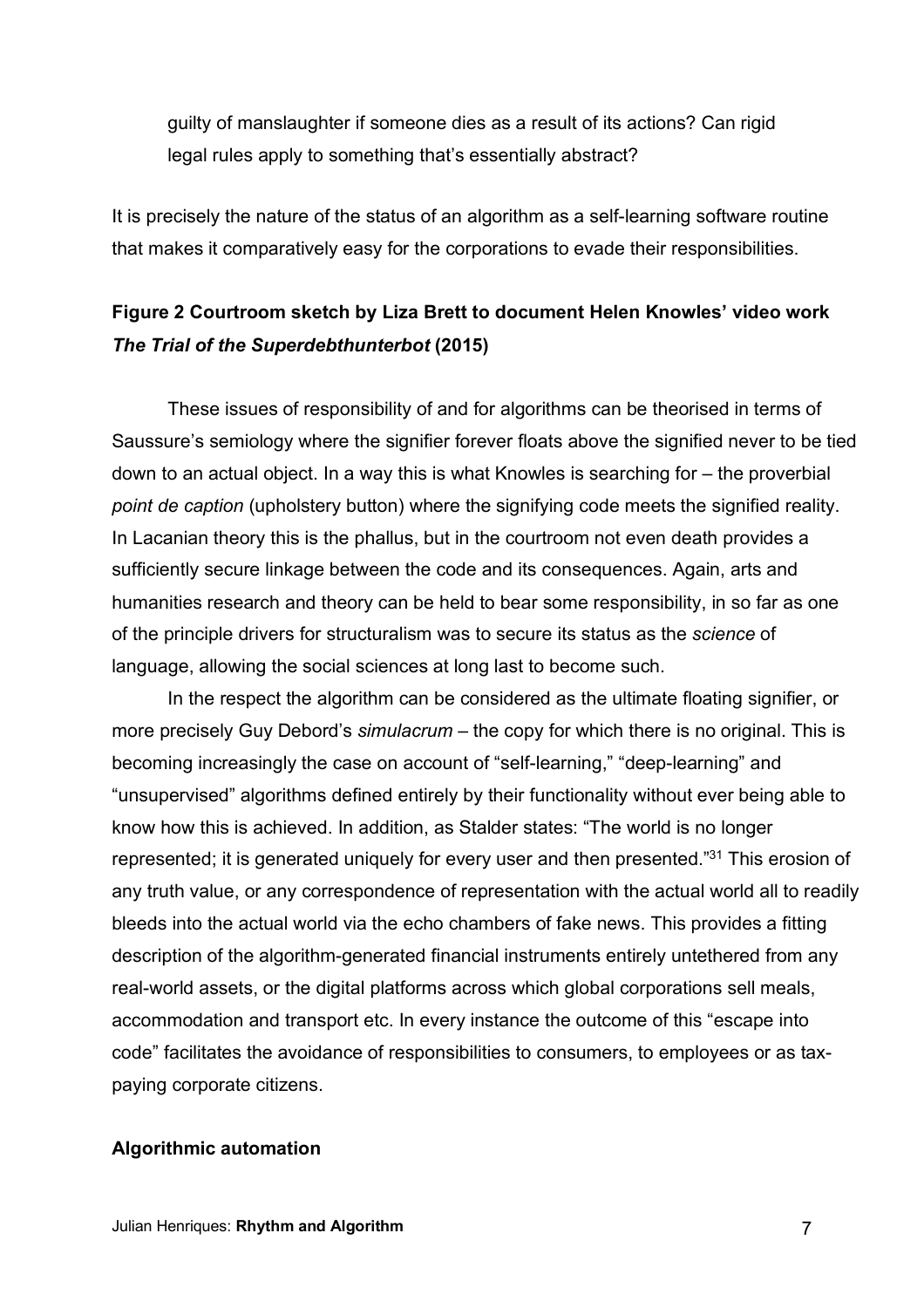guilty of manslaughter if someone dies as a result of its actions? Can rigid legal rules apply to something that's essentially abstract?

It is precisely the nature of the status of an algorithm as a self-learning software routine that makes it comparatively easy for the corporations to evade their responsibilities.

# **Figure 2 Courtroom sketch by Liza Brett to document Helen Knowles' video work**  *The Trial of the Superdebthunterbot* **(2015)**

These issues of responsibility of and for algorithms can be theorised in terms of Saussure's semiology where the signifier forever floats above the signified never to be tied down to an actual object. In a way this is what Knowles is searching for – the proverbial *point de caption* (upholstery button) where the signifying code meets the signified reality. In Lacanian theory this is the phallus, but in the courtroom not even death provides a sufficiently secure linkage between the code and its consequences. Again, arts and humanities research and theory can be held to bear some responsibility, in so far as one of the principle drivers for structuralism was to secure its status as the *science* of language, allowing the social sciences at long last to become such.

In the respect the algorithm can be considered as the ultimate floating signifier, or more precisely Guy Debord's *simulacrum* – the copy for which there is no original. This is becoming increasingly the case on account of "self-learning," "deep-learning" and "unsupervised" algorithms defined entirely by their functionality without ever being able to know how this is achieved. In addition, as Stalder states: "The world is no longer represented; it is generated uniquely for every user and then presented."31 This erosion of any truth value, or any correspondence of representation with the actual world all to readily bleeds into the actual world via the echo chambers of fake news. This provides a fitting description of the algorithm-generated financial instruments entirely untethered from any real-world assets, or the digital platforms across which global corporations sell meals, accommodation and transport etc. In every instance the outcome of this "escape into code" facilitates the avoidance of responsibilities to consumers, to employees or as taxpaying corporate citizens.

# **Algorithmic automation**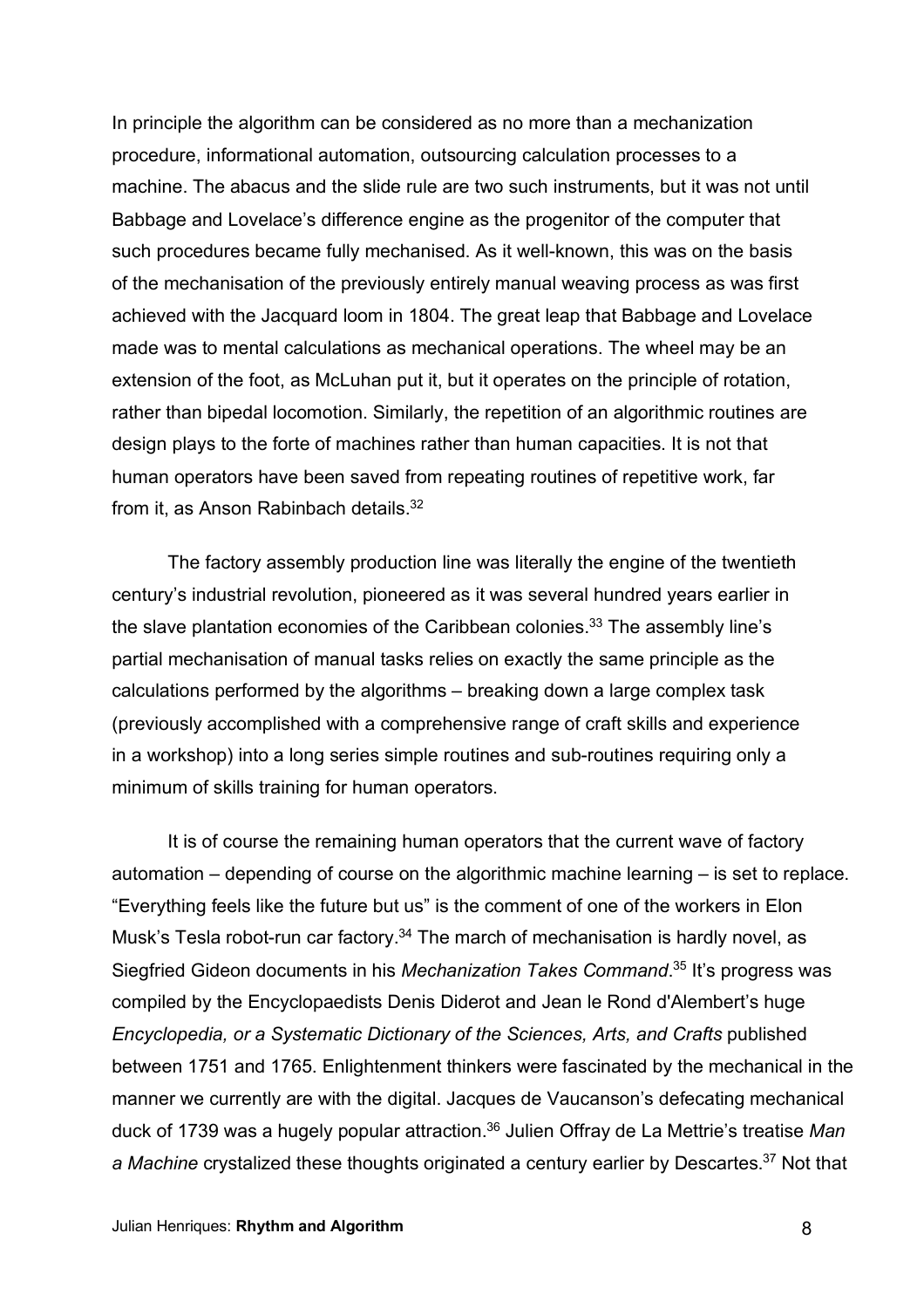In principle the algorithm can be considered as no more than a mechanization procedure, informational automation, outsourcing calculation processes to a machine. The abacus and the slide rule are two such instruments, but it was not until Babbage and Lovelace's difference engine as the progenitor of the computer that such procedures became fully mechanised. As it well-known, this was on the basis of the mechanisation of the previously entirely manual weaving process as was first achieved with the Jacquard loom in 1804. The great leap that Babbage and Lovelace made was to mental calculations as mechanical operations. The wheel may be an extension of the foot, as McLuhan put it, but it operates on the principle of rotation, rather than bipedal locomotion. Similarly, the repetition of an algorithmic routines are design plays to the forte of machines rather than human capacities. It is not that human operators have been saved from repeating routines of repetitive work, far from it, as Anson Rabinbach details.<sup>32</sup>

The factory assembly production line was literally the engine of the twentieth century's industrial revolution, pioneered as it was several hundred years earlier in the slave plantation economies of the Caribbean colonies.<sup>33</sup> The assembly line's partial mechanisation of manual tasks relies on exactly the same principle as the calculations performed by the algorithms – breaking down a large complex task (previously accomplished with a comprehensive range of craft skills and experience in a workshop) into a long series simple routines and sub-routines requiring only a minimum of skills training for human operators.

It is of course the remaining human operators that the current wave of factory automation – depending of course on the algorithmic machine learning – is set to replace. "Everything feels like the future but us" is the comment of one of the workers in Elon Musk's Tesla robot-run car factory.<sup>34</sup> The march of mechanisation is hardly novel, as Siegfried Gideon documents in his *Mechanization Takes Command*. <sup>35</sup> It's progress was compiled by the Encyclopaedists Denis Diderot and Jean le Rond d'Alembert's huge *Encyclopedia, or a Systematic Dictionary of the Sciences, Arts, and Crafts* published between 1751 and 1765. Enlightenment thinkers were fascinated by the mechanical in the manner we currently are with the digital. Jacques de Vaucanson's defecating mechanical duck of 1739 was a hugely popular attraction. <sup>36</sup> Julien Offray de La Mettrie's treatise *Man a Machine* crystalized these thoughts originated a century earlier by Descartes.37 Not that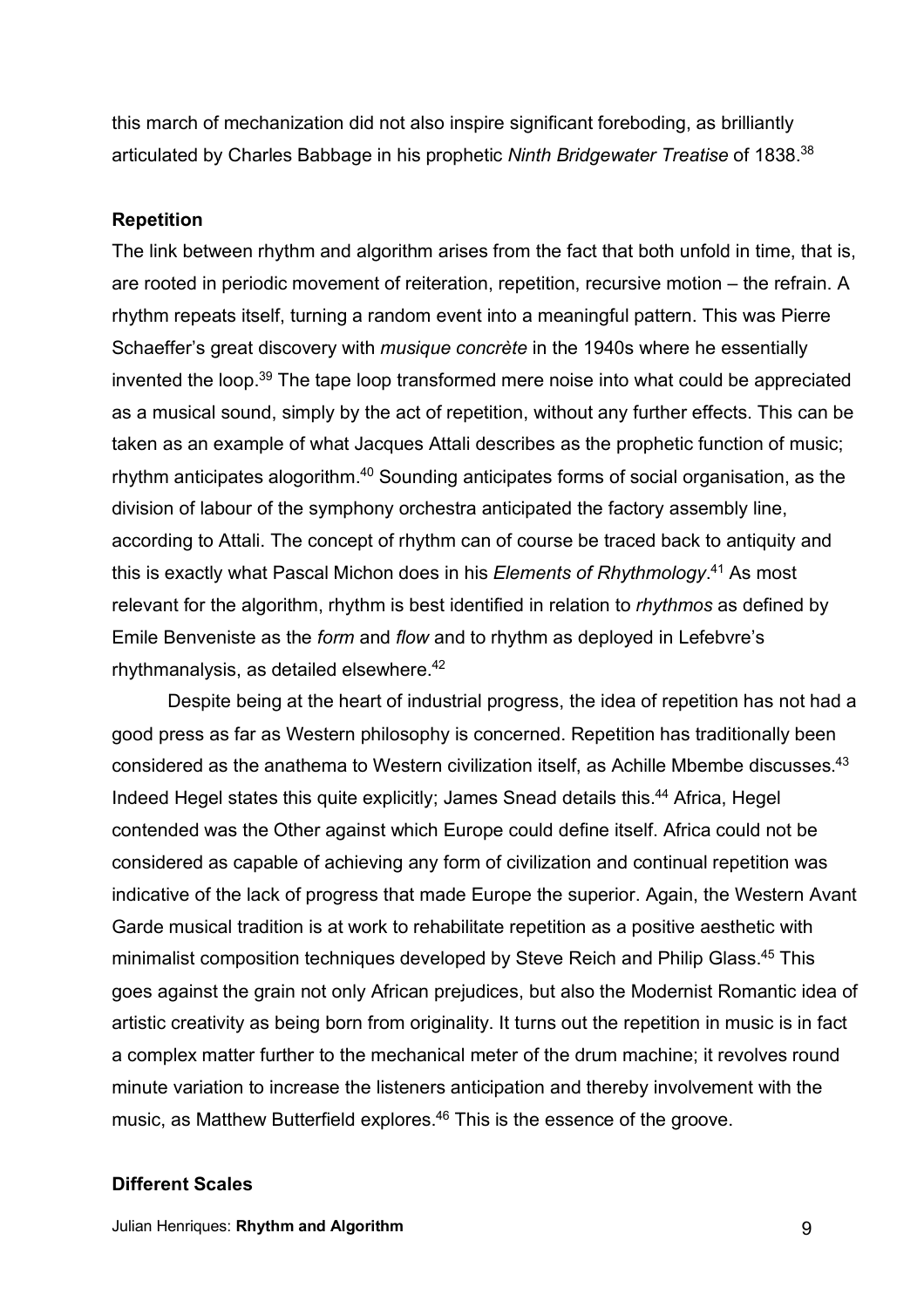this march of mechanization did not also inspire significant foreboding, as brilliantly articulated by Charles Babbage in his prophetic *Ninth Bridgewater Treatise* of 1838.38

## **Repetition**

The link between rhythm and algorithm arises from the fact that both unfold in time, that is, are rooted in periodic movement of reiteration, repetition, recursive motion – the refrain. A rhythm repeats itself, turning a random event into a meaningful pattern. This was Pierre Schaeffer's great discovery with *musique concrète* in the 1940s where he essentially invented the loop.39 The tape loop transformed mere noise into what could be appreciated as a musical sound, simply by the act of repetition, without any further effects. This can be taken as an example of what Jacques Attali describes as the prophetic function of music; rhythm anticipates alogorithm.<sup>40</sup> Sounding anticipates forms of social organisation, as the division of labour of the symphony orchestra anticipated the factory assembly line, according to Attali. The concept of rhythm can of course be traced back to antiquity and this is exactly what Pascal Michon does in his *Elements of Rhythmology*. <sup>41</sup> As most relevant for the algorithm, rhythm is best identified in relation to *rhythmos* as defined by Emile Benveniste as the *form* and *flow* and to rhythm as deployed in Lefebvre's rhythmanalysis, as detailed elsewhere.42

Despite being at the heart of industrial progress, the idea of repetition has not had a good press as far as Western philosophy is concerned. Repetition has traditionally been considered as the anathema to Western civilization itself, as Achille Mbembe discusses.43 Indeed Hegel states this quite explicitly; James Snead details this.<sup>44</sup> Africa, Hegel contended was the Other against which Europe could define itself. Africa could not be considered as capable of achieving any form of civilization and continual repetition was indicative of the lack of progress that made Europe the superior. Again, the Western Avant Garde musical tradition is at work to rehabilitate repetition as a positive aesthetic with minimalist composition techniques developed by Steve Reich and Philip Glass.45 This goes against the grain not only African prejudices, but also the Modernist Romantic idea of artistic creativity as being born from originality. It turns out the repetition in music is in fact a complex matter further to the mechanical meter of the drum machine; it revolves round minute variation to increase the listeners anticipation and thereby involvement with the music, as Matthew Butterfield explores.<sup>46</sup> This is the essence of the groove.

#### **Different Scales**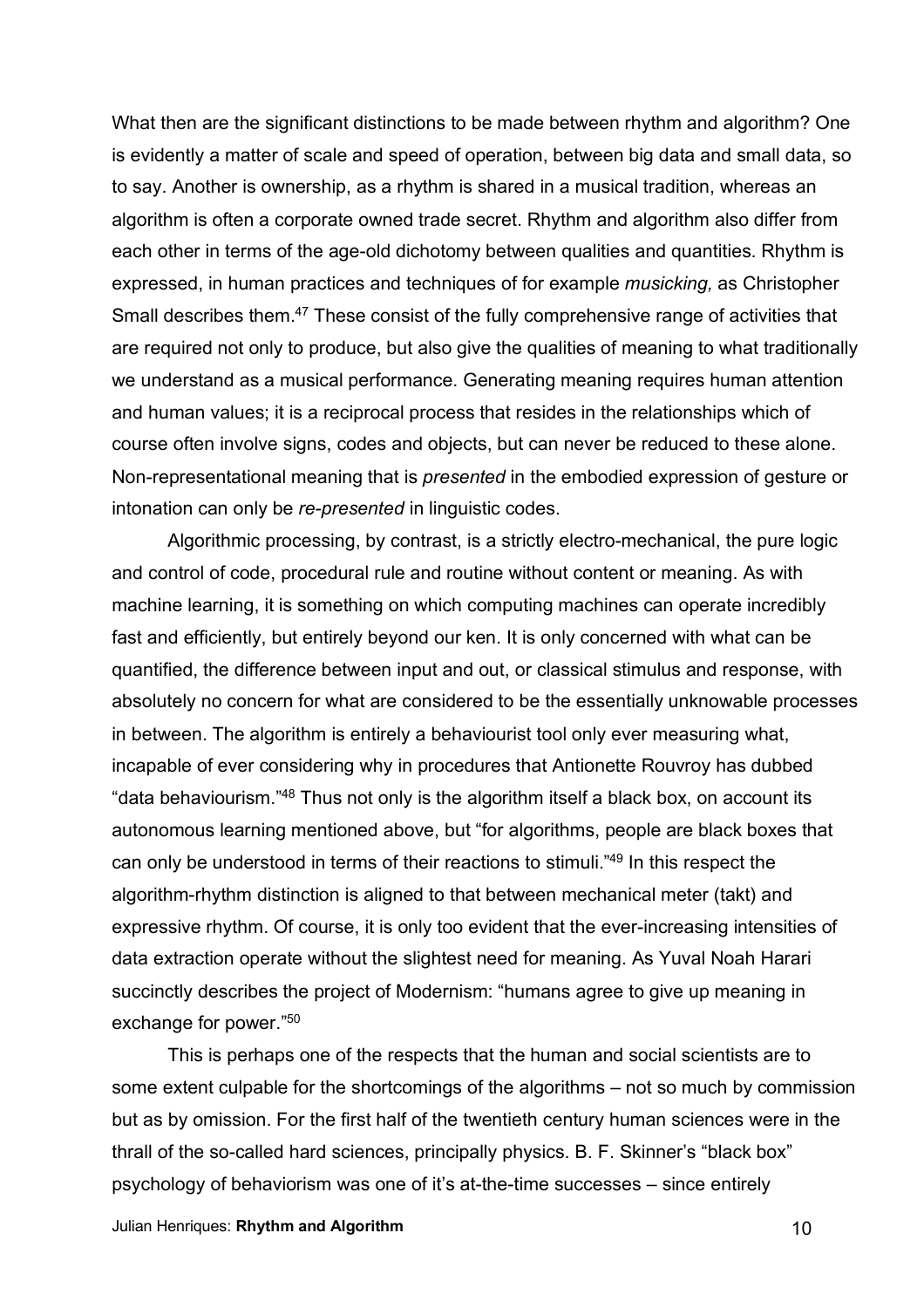What then are the significant distinctions to be made between rhythm and algorithm? One is evidently a matter of scale and speed of operation, between big data and small data, so to say. Another is ownership, as a rhythm is shared in a musical tradition, whereas an algorithm is often a corporate owned trade secret. Rhythm and algorithm also differ from each other in terms of the age-old dichotomy between qualities and quantities. Rhythm is expressed, in human practices and techniques of for example *musicking,* as Christopher Small describes them.<sup>47</sup> These consist of the fully comprehensive range of activities that are required not only to produce, but also give the qualities of meaning to what traditionally we understand as a musical performance. Generating meaning requires human attention and human values; it is a reciprocal process that resides in the relationships which of course often involve signs, codes and objects, but can never be reduced to these alone. Non-representational meaning that is *presented* in the embodied expression of gesture or intonation can only be *re-presented* in linguistic codes.

Algorithmic processing, by contrast, is a strictly electro-mechanical, the pure logic and control of code, procedural rule and routine without content or meaning. As with machine learning, it is something on which computing machines can operate incredibly fast and efficiently, but entirely beyond our ken. It is only concerned with what can be quantified, the difference between input and out, or classical stimulus and response, with absolutely no concern for what are considered to be the essentially unknowable processes in between. The algorithm is entirely a behaviourist tool only ever measuring what, incapable of ever considering why in procedures that Antionette Rouvroy has dubbed "data behaviourism."48 Thus not only is the algorithm itself a black box, on account its autonomous learning mentioned above, but "for algorithms, people are black boxes that can only be understood in terms of their reactions to stimuli."49 In this respect the algorithm-rhythm distinction is aligned to that between mechanical meter (takt) and expressive rhythm. Of course, it is only too evident that the ever-increasing intensities of data extraction operate without the slightest need for meaning. As Yuval Noah Harari succinctly describes the project of Modernism: "humans agree to give up meaning in exchange for power."50

This is perhaps one of the respects that the human and social scientists are to some extent culpable for the shortcomings of the algorithms – not so much by commission but as by omission. For the first half of the twentieth century human sciences were in the thrall of the so-called hard sciences, principally physics. B. F. Skinner's "black box" psychology of behaviorism was one of it's at-the-time successes – since entirely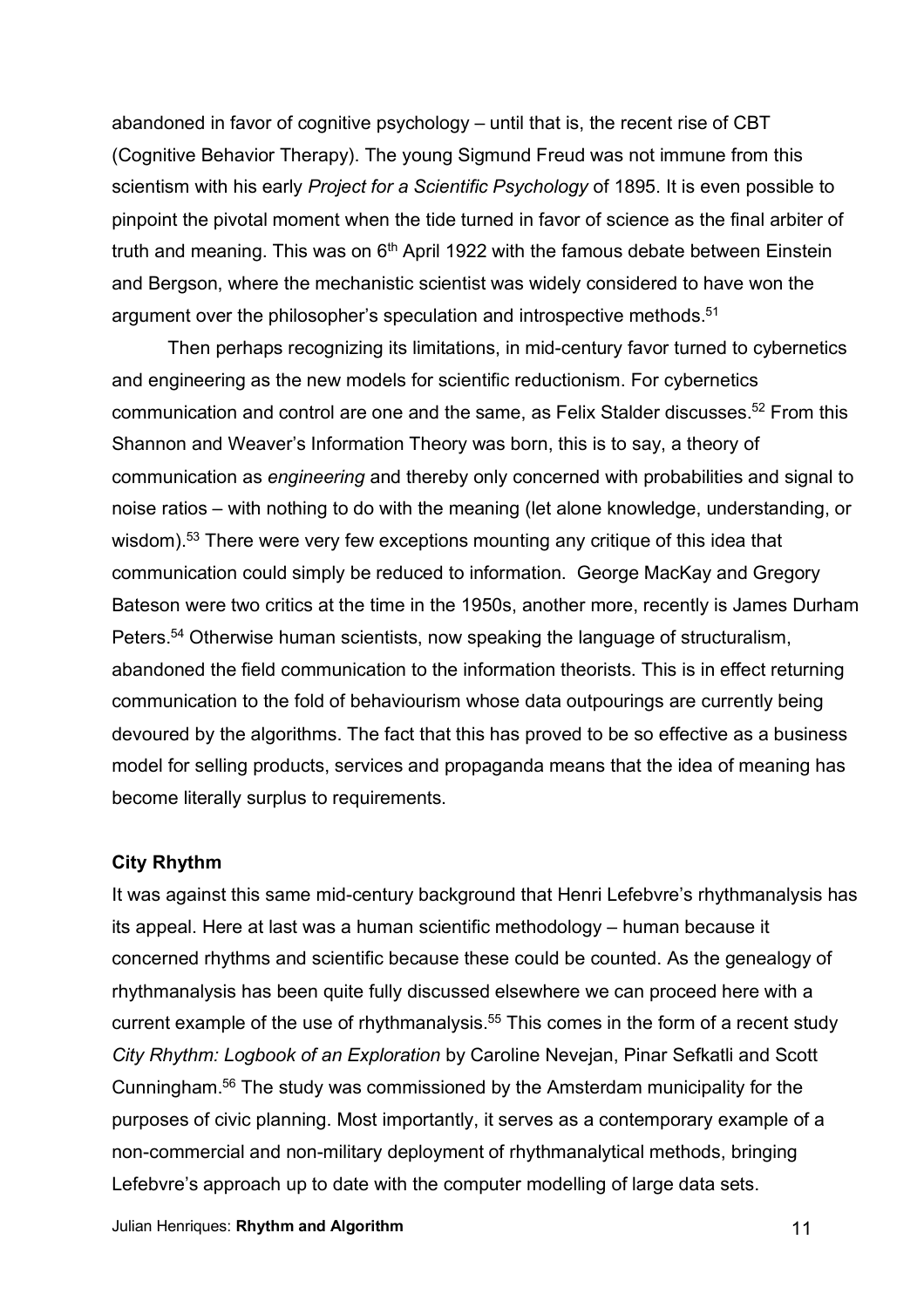abandoned in favor of cognitive psychology – until that is, the recent rise of CBT (Cognitive Behavior Therapy). The young Sigmund Freud was not immune from this scientism with his early *Project for a Scientific Psychology* of 1895. It is even possible to pinpoint the pivotal moment when the tide turned in favor of science as the final arbiter of truth and meaning. This was on  $6<sup>th</sup>$  April 1922 with the famous debate between Einstein and Bergson, where the mechanistic scientist was widely considered to have won the argument over the philosopher's speculation and introspective methods.<sup>51</sup>

Then perhaps recognizing its limitations, in mid-century favor turned to cybernetics and engineering as the new models for scientific reductionism. For cybernetics communication and control are one and the same, as Felix Stalder discusses.<sup>52</sup> From this Shannon and Weaver's Information Theory was born, this is to say, a theory of communication as *engineering* and thereby only concerned with probabilities and signal to noise ratios – with nothing to do with the meaning (let alone knowledge, understanding, or wisdom).<sup>53</sup> There were very few exceptions mounting any critique of this idea that communication could simply be reduced to information. George MacKay and Gregory Bateson were two critics at the time in the 1950s, another more, recently is James Durham Peters.<sup>54</sup> Otherwise human scientists, now speaking the language of structuralism, abandoned the field communication to the information theorists. This is in effect returning communication to the fold of behaviourism whose data outpourings are currently being devoured by the algorithms. The fact that this has proved to be so effective as a business model for selling products, services and propaganda means that the idea of meaning has become literally surplus to requirements.

### **City Rhythm**

It was against this same mid-century background that Henri Lefebvre's rhythmanalysis has its appeal. Here at last was a human scientific methodology – human because it concerned rhythms and scientific because these could be counted. As the genealogy of rhythmanalysis has been quite fully discussed elsewhere we can proceed here with a current example of the use of rhythmanalysis.<sup>55</sup> This comes in the form of a recent study *City Rhythm: Logbook of an Exploration* by Caroline Nevejan, Pinar Sefkatli and Scott Cunningham. <sup>56</sup> The study was commissioned by the Amsterdam municipality for the purposes of civic planning. Most importantly, it serves as a contemporary example of a non-commercial and non-military deployment of rhythmanalytical methods, bringing Lefebvre's approach up to date with the computer modelling of large data sets.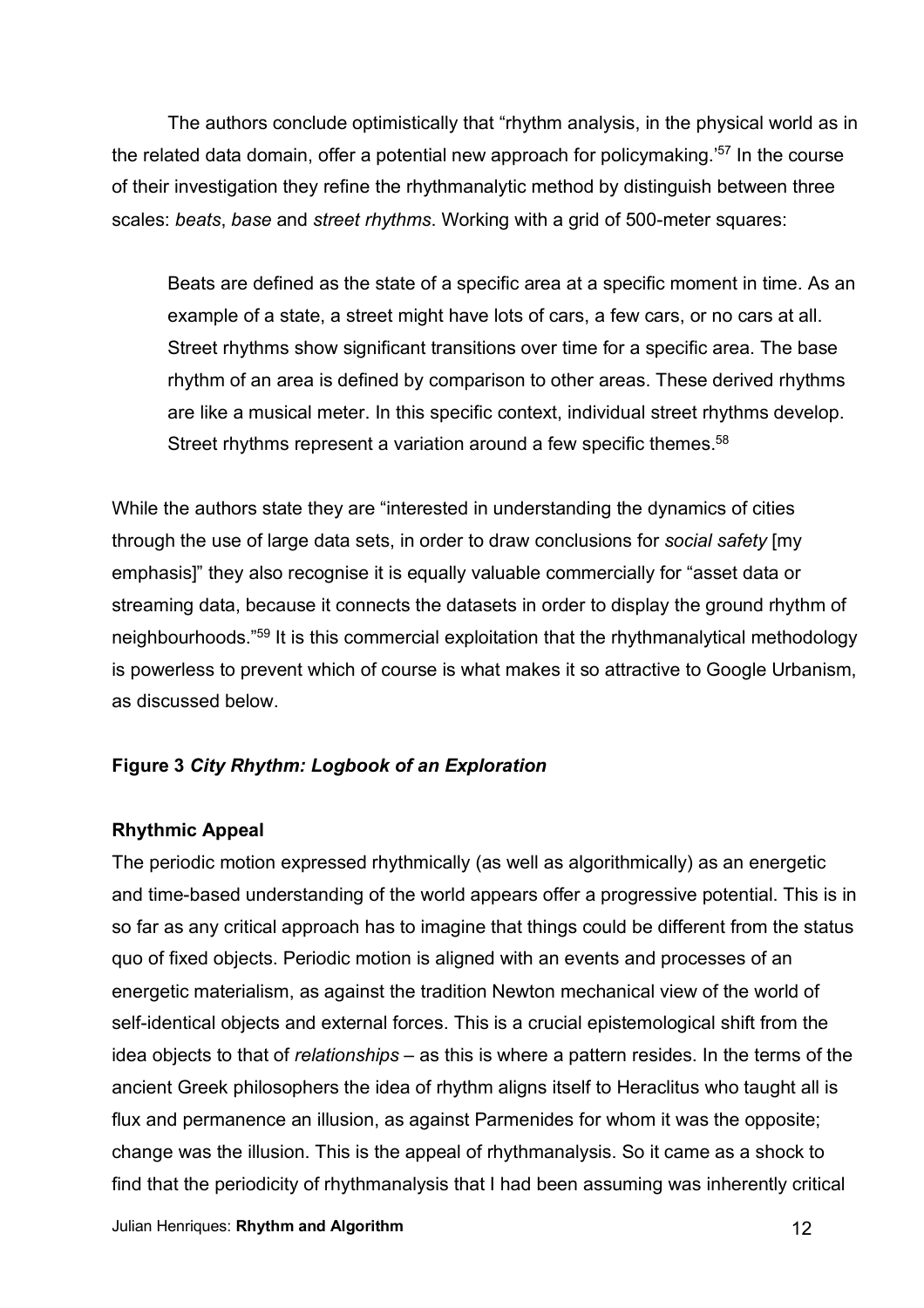The authors conclude optimistically that "rhythm analysis, in the physical world as in the related data domain, offer a potential new approach for policymaking.<sup>57</sup> In the course of their investigation they refine the rhythmanalytic method by distinguish between three scales: *beats*, *base* and *street rhythms*. Working with a grid of 500-meter squares:

Beats are defined as the state of a specific area at a specific moment in time. As an example of a state, a street might have lots of cars, a few cars, or no cars at all. Street rhythms show significant transitions over time for a specific area. The base rhythm of an area is defined by comparison to other areas. These derived rhythms are like a musical meter. In this specific context, individual street rhythms develop. Street rhythms represent a variation around a few specific themes.<sup>58</sup>

While the authors state they are "interested in understanding the dynamics of cities through the use of large data sets, in order to draw conclusions for *social safety* [my emphasis]" they also recognise it is equally valuable commercially for "asset data or streaming data, because it connects the datasets in order to display the ground rhythm of neighbourhoods."<sup>59</sup> It is this commercial exploitation that the rhythmanalytical methodology is powerless to prevent which of course is what makes it so attractive to Google Urbanism, as discussed below.

# **Figure 3** *City Rhythm: Logbook of an Exploration*

### **Rhythmic Appeal**

The periodic motion expressed rhythmically (as well as algorithmically) as an energetic and time-based understanding of the world appears offer a progressive potential. This is in so far as any critical approach has to imagine that things could be different from the status quo of fixed objects. Periodic motion is aligned with an events and processes of an energetic materialism, as against the tradition Newton mechanical view of the world of self-identical objects and external forces. This is a crucial epistemological shift from the idea objects to that of *relationships* – as this is where a pattern resides. In the terms of the ancient Greek philosophers the idea of rhythm aligns itself to Heraclitus who taught all is flux and permanence an illusion, as against Parmenides for whom it was the opposite; change was the illusion. This is the appeal of rhythmanalysis. So it came as a shock to find that the periodicity of rhythmanalysis that I had been assuming was inherently critical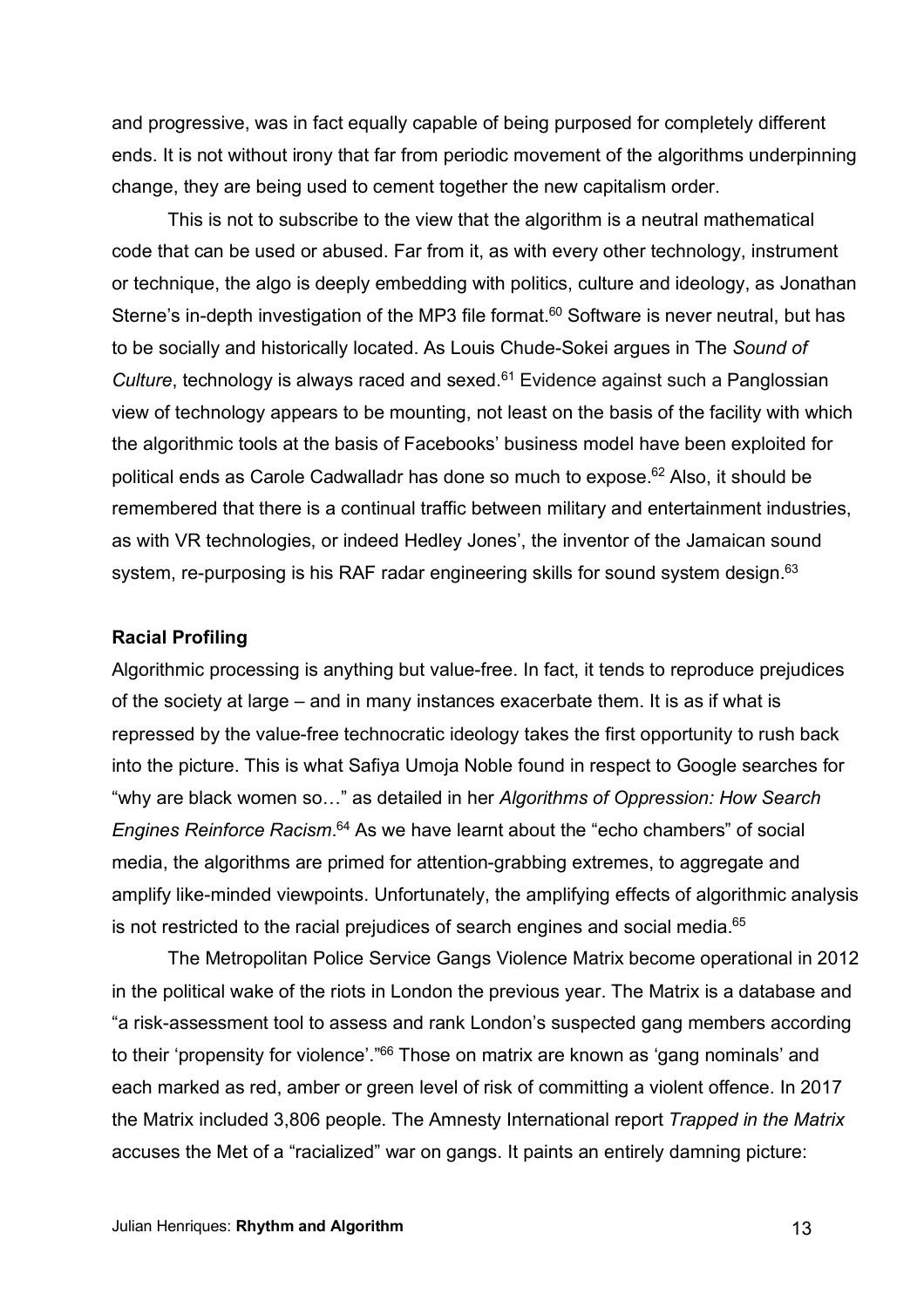and progressive, was in fact equally capable of being purposed for completely different ends. It is not without irony that far from periodic movement of the algorithms underpinning change, they are being used to cement together the new capitalism order.

This is not to subscribe to the view that the algorithm is a neutral mathematical code that can be used or abused. Far from it, as with every other technology, instrument or technique, the algo is deeply embedding with politics, culture and ideology, as Jonathan Sterne's in-depth investigation of the MP3 file format.<sup>60</sup> Software is never neutral, but has to be socially and historically located. As Louis Chude-Sokei argues in The *Sound of Culture*, technology is always raced and sexed.<sup>61</sup> Evidence against such a Panglossian view of technology appears to be mounting, not least on the basis of the facility with which the algorithmic tools at the basis of Facebooks' business model have been exploited for political ends as Carole Cadwalladr has done so much to expose.<sup>62</sup> Also, it should be remembered that there is a continual traffic between military and entertainment industries, as with VR technologies, or indeed Hedley Jones', the inventor of the Jamaican sound system, re-purposing is his RAF radar engineering skills for sound system design.<sup>63</sup>

## **Racial Profiling**

Algorithmic processing is anything but value-free. In fact, it tends to reproduce prejudices of the society at large – and in many instances exacerbate them. It is as if what is repressed by the value-free technocratic ideology takes the first opportunity to rush back into the picture. This is what Safiya Umoja Noble found in respect to Google searches for "why are black women so…" as detailed in her *Algorithms of Oppression: How Search Engines Reinforce Racism*. <sup>64</sup> As we have learnt about the "echo chambers" of social media, the algorithms are primed for attention-grabbing extremes, to aggregate and amplify like-minded viewpoints. Unfortunately, the amplifying effects of algorithmic analysis is not restricted to the racial prejudices of search engines and social media.<sup>65</sup>

The Metropolitan Police Service Gangs Violence Matrix become operational in 2012 in the political wake of the riots in London the previous year. The Matrix is a database and "a risk-assessment tool to assess and rank London's suspected gang members according to their 'propensity for violence'."<sup>66</sup> Those on matrix are known as 'gang nominals' and each marked as red, amber or green level of risk of committing a violent offence. In 2017 the Matrix included 3,806 people. The Amnesty International report *Trapped in the Matrix*  accuses the Met of a "racialized" war on gangs. It paints an entirely damning picture: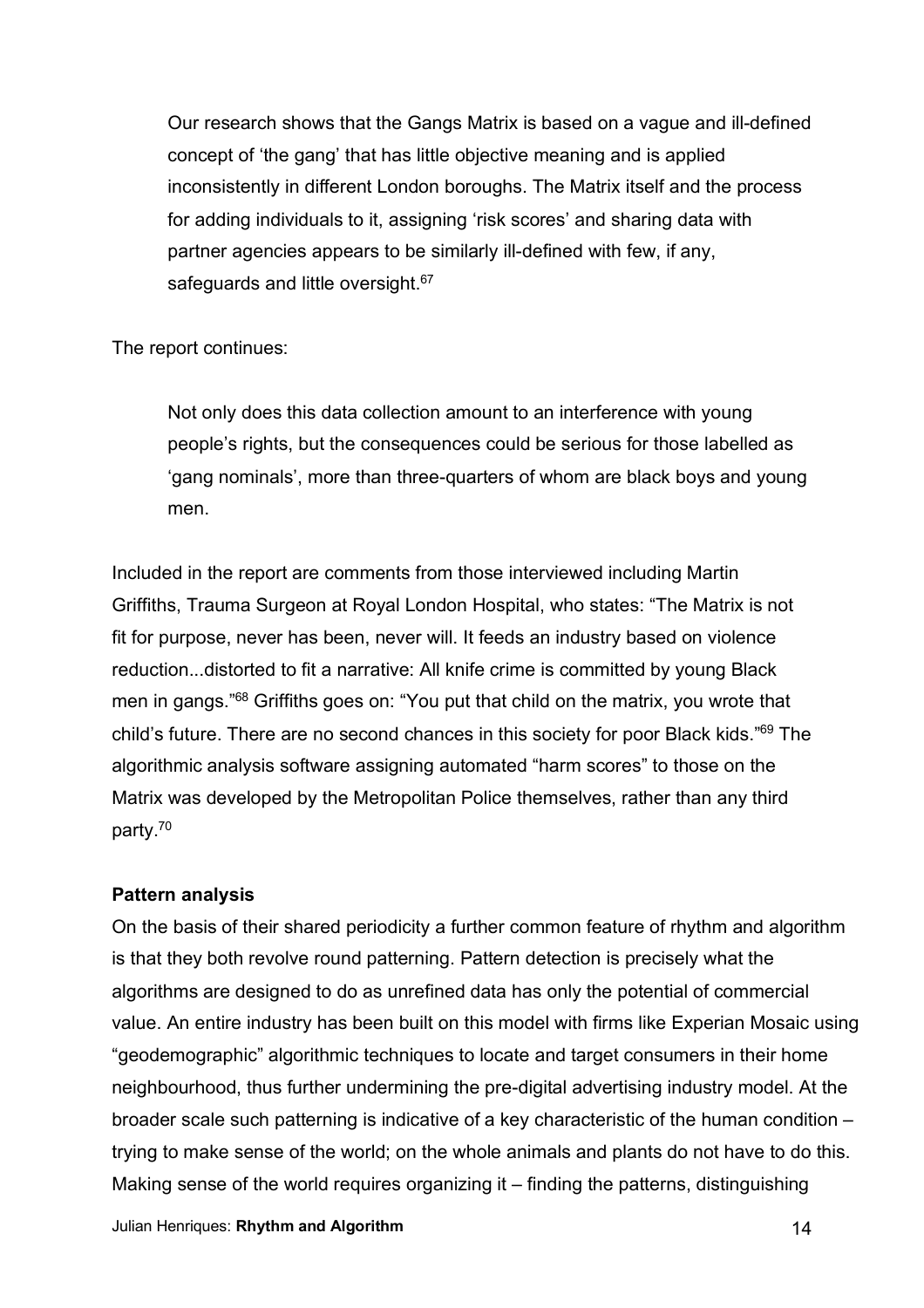Our research shows that the Gangs Matrix is based on a vague and ill-defined concept of 'the gang' that has little objective meaning and is applied inconsistently in different London boroughs. The Matrix itself and the process for adding individuals to it, assigning 'risk scores' and sharing data with partner agencies appears to be similarly ill-defined with few, if any, safeguards and little oversight.<sup>67</sup>

The report continues:

Not only does this data collection amount to an interference with young people's rights, but the consequences could be serious for those labelled as 'gang nominals', more than three-quarters of whom are black boys and young men.

Included in the report are comments from those interviewed including Martin Griffiths, Trauma Surgeon at Royal London Hospital, who states: "The Matrix is not fit for purpose, never has been, never will. It feeds an industry based on violence reduction...distorted to fit a narrative: All knife crime is committed by young Black men in gangs."<sup>68</sup> Griffiths goes on: "You put that child on the matrix, you wrote that child's future. There are no second chances in this society for poor Black kids."<sup>69</sup> The algorithmic analysis software assigning automated "harm scores" to those on the Matrix was developed by the Metropolitan Police themselves, rather than any third party.70

# **Pattern analysis**

On the basis of their shared periodicity a further common feature of rhythm and algorithm is that they both revolve round patterning. Pattern detection is precisely what the algorithms are designed to do as unrefined data has only the potential of commercial value. An entire industry has been built on this model with firms like Experian Mosaic using "geodemographic" algorithmic techniques to locate and target consumers in their home neighbourhood, thus further undermining the pre-digital advertising industry model. At the broader scale such patterning is indicative of a key characteristic of the human condition – trying to make sense of the world; on the whole animals and plants do not have to do this. Making sense of the world requires organizing it – finding the patterns, distinguishing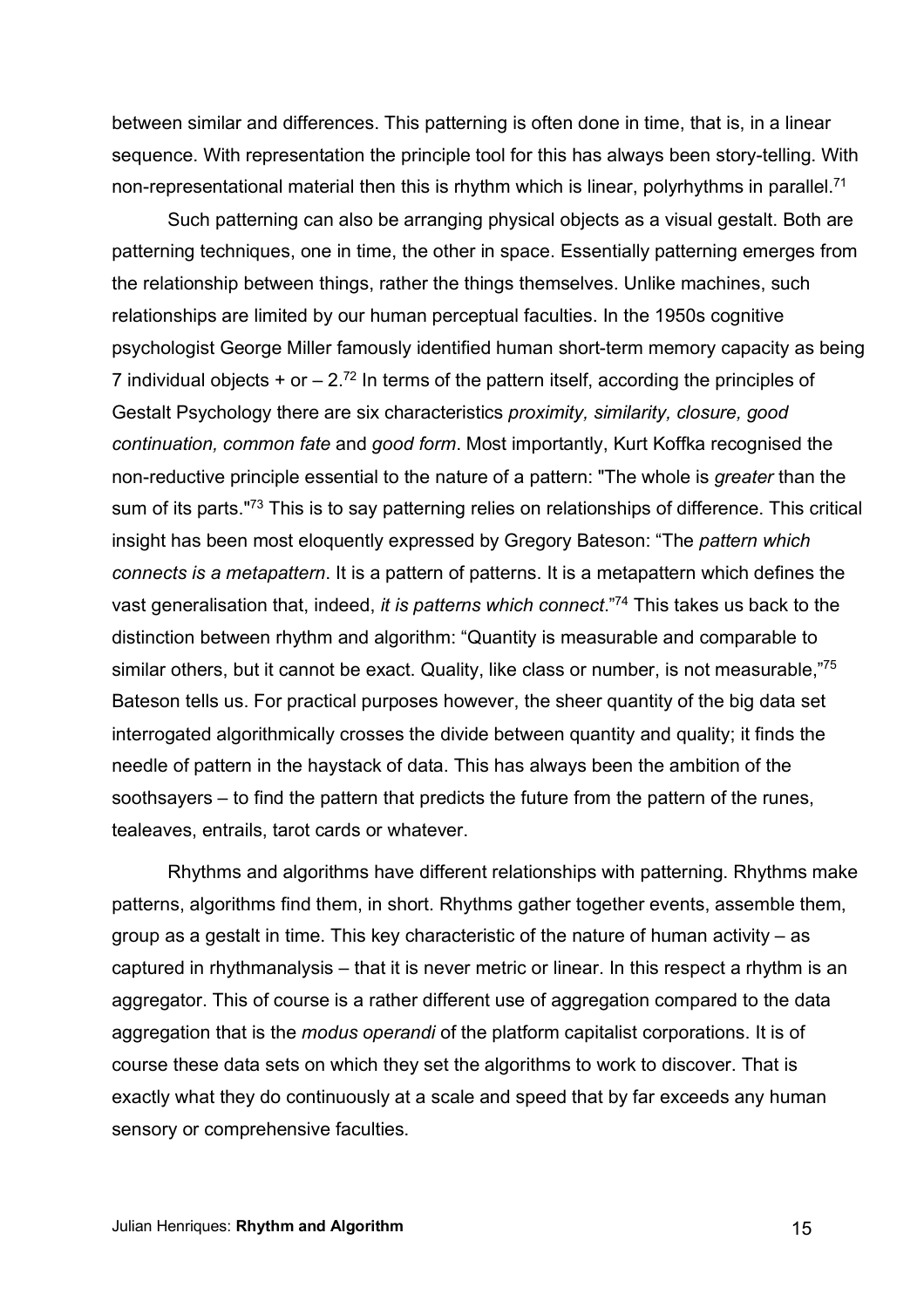between similar and differences. This patterning is often done in time, that is, in a linear sequence. With representation the principle tool for this has always been story-telling. With non-representational material then this is rhythm which is linear, polyrhythms in parallel.<sup>71</sup>

Such patterning can also be arranging physical objects as a visual gestalt. Both are patterning techniques, one in time, the other in space. Essentially patterning emerges from the relationship between things, rather the things themselves. Unlike machines, such relationships are limited by our human perceptual faculties. In the 1950s cognitive psychologist George Miller famously identified human short-term memory capacity as being 7 individual objects  $+$  or  $-2^{72}$  In terms of the pattern itself, according the principles of Gestalt Psychology there are six characteristics *proximity, similarity, closure, good continuation, common fate* and *good form*. Most importantly, Kurt Koffka recognised the non-reductive principle essential to the nature of a pattern: "The whole is *greater* than the sum of its parts."<sup>73</sup> This is to say patterning relies on relationships of difference. This critical insight has been most eloquently expressed by Gregory Bateson: "The *pattern which connects is a metapattern*. It is a pattern of patterns. It is a metapattern which defines the vast generalisation that, indeed, *it is patterns which connect*." <sup>74</sup> This takes us back to the distinction between rhythm and algorithm: "Quantity is measurable and comparable to similar others, but it cannot be exact. Quality, like class or number, is not measurable,"<sup>75</sup> Bateson tells us. For practical purposes however, the sheer quantity of the big data set interrogated algorithmically crosses the divide between quantity and quality; it finds the needle of pattern in the haystack of data. This has always been the ambition of the soothsayers – to find the pattern that predicts the future from the pattern of the runes, tealeaves, entrails, tarot cards or whatever.

Rhythms and algorithms have different relationships with patterning. Rhythms make patterns, algorithms find them, in short. Rhythms gather together events, assemble them, group as a gestalt in time. This key characteristic of the nature of human activity – as captured in rhythmanalysis – that it is never metric or linear. In this respect a rhythm is an aggregator. This of course is a rather different use of aggregation compared to the data aggregation that is the *modus operandi* of the platform capitalist corporations. It is of course these data sets on which they set the algorithms to work to discover. That is exactly what they do continuously at a scale and speed that by far exceeds any human sensory or comprehensive faculties.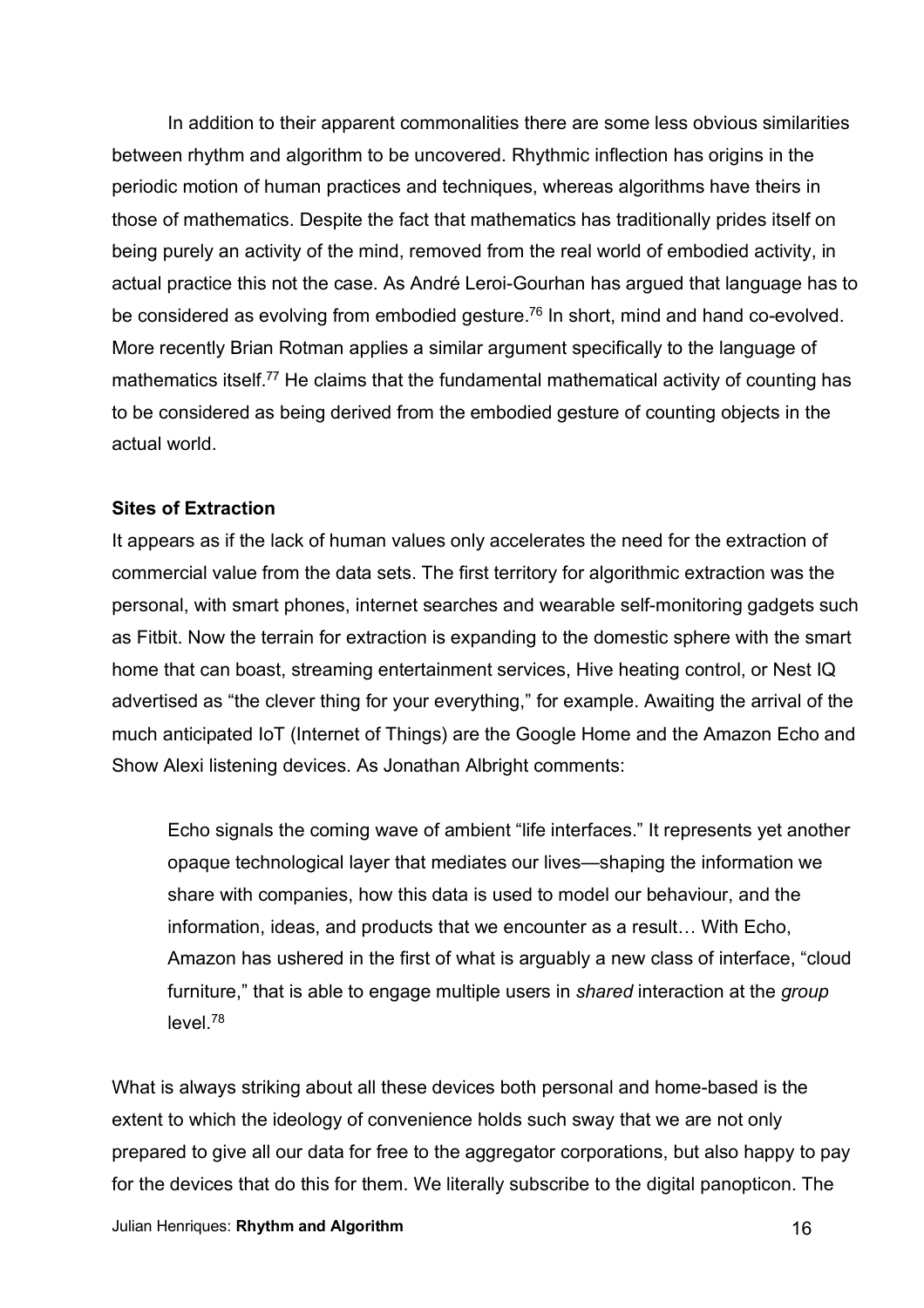In addition to their apparent commonalities there are some less obvious similarities between rhythm and algorithm to be uncovered. Rhythmic inflection has origins in the periodic motion of human practices and techniques, whereas algorithms have theirs in those of mathematics. Despite the fact that mathematics has traditionally prides itself on being purely an activity of the mind, removed from the real world of embodied activity, in actual practice this not the case. As André Leroi-Gourhan has argued that language has to be considered as evolving from embodied gesture.<sup>76</sup> In short, mind and hand co-evolved. More recently Brian Rotman applies a similar argument specifically to the language of mathematics itself.<sup>77</sup> He claims that the fundamental mathematical activity of counting has to be considered as being derived from the embodied gesture of counting objects in the actual world.

# **Sites of Extraction**

It appears as if the lack of human values only accelerates the need for the extraction of commercial value from the data sets. The first territory for algorithmic extraction was the personal, with smart phones, internet searches and wearable self-monitoring gadgets such as Fitbit. Now the terrain for extraction is expanding to the domestic sphere with the smart home that can boast, streaming entertainment services, Hive heating control, or Nest IQ advertised as "the clever thing for your everything," for example. Awaiting the arrival of the much anticipated IoT (Internet of Things) are the Google Home and the Amazon Echo and Show Alexi listening devices. As Jonathan Albright comments:

Echo signals the coming wave of ambient "life interfaces." It represents yet another opaque technological layer that mediates our lives—shaping the information we share with companies, how this data is used to model our behaviour, and the information, ideas, and products that we encounter as a result… With Echo, Amazon has ushered in the first of what is arguably a new class of interface, "cloud furniture," that is able to engage multiple users in *shared* interaction at the *group* level.78

What is always striking about all these devices both personal and home-based is the extent to which the ideology of convenience holds such sway that we are not only prepared to give all our data for free to the aggregator corporations, but also happy to pay for the devices that do this for them. We literally subscribe to the digital panopticon. The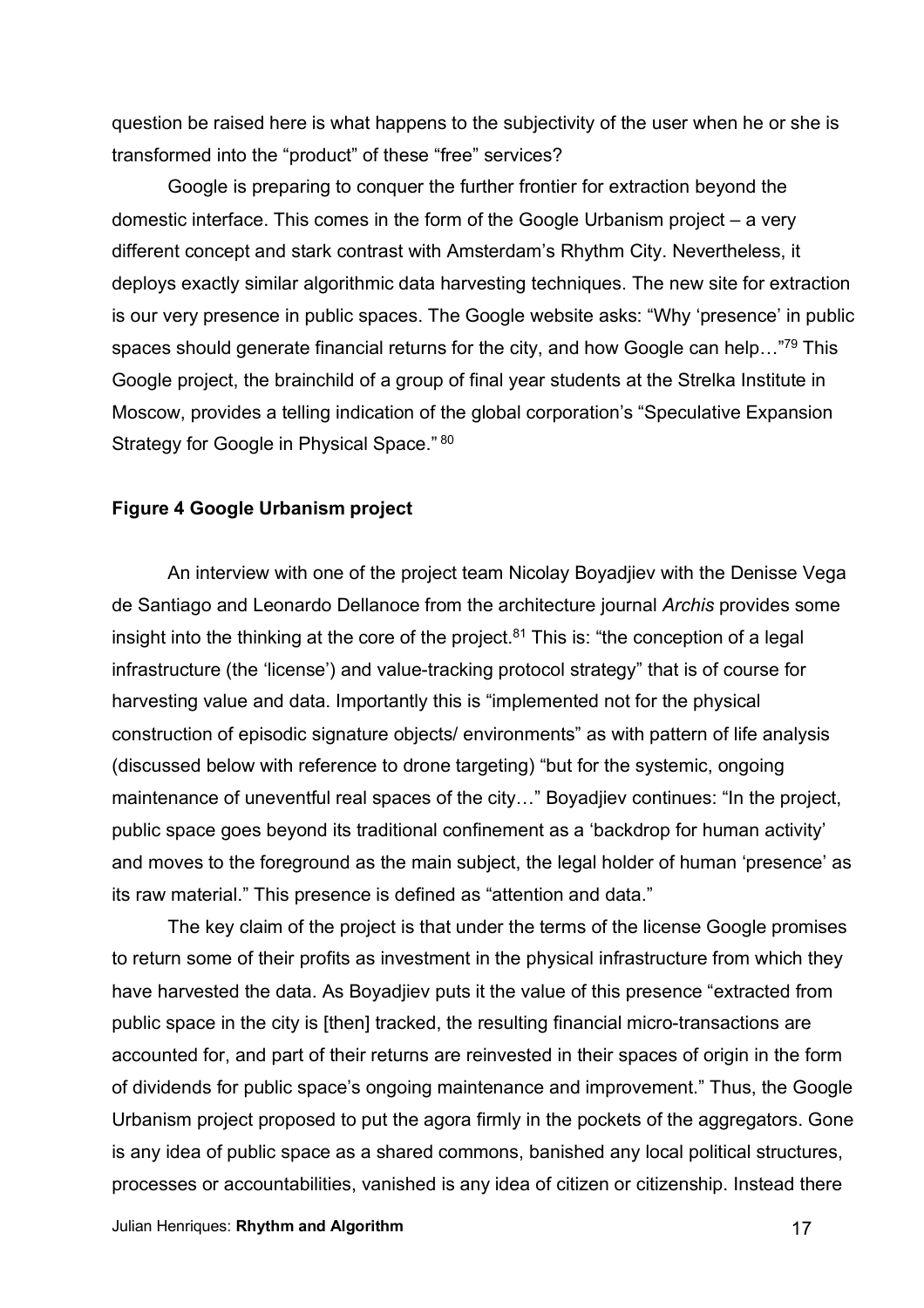question be raised here is what happens to the subjectivity of the user when he or she is transformed into the "product" of these "free" services?

Google is preparing to conquer the further frontier for extraction beyond the domestic interface. This comes in the form of the Google Urbanism project – a very different concept and stark contrast with Amsterdam's Rhythm City. Nevertheless, it deploys exactly similar algorithmic data harvesting techniques. The new site for extraction is our very presence in public spaces. The Google website asks: "Why 'presence' in public spaces should generate financial returns for the city, and how Google can help..."<sup>79</sup> This Google project, the brainchild of a group of final year students at the Strelka Institute in Moscow, provides a telling indication of the global corporation's "Speculative Expansion Strategy for Google in Physical Space." 80

# **Figure 4 Google Urbanism project**

An interview with one of the project team Nicolay Boyadjiev with the Denisse Vega de Santiago and Leonardo Dellanoce from the architecture journal *Archis* provides some insight into the thinking at the core of the project. $81$  This is: "the conception of a legal infrastructure (the 'license') and value-tracking protocol strategy" that is of course for harvesting value and data. Importantly this is "implemented not for the physical construction of episodic signature objects/ environments" as with pattern of life analysis (discussed below with reference to drone targeting) "but for the systemic, ongoing maintenance of uneventful real spaces of the city..." Boyadjiev continues: "In the project, public space goes beyond its traditional confinement as a 'backdrop for human activity' and moves to the foreground as the main subject, the legal holder of human 'presence' as its raw material." This presence is defined as "attention and data."

The key claim of the project is that under the terms of the license Google promises to return some of their profits as investment in the physical infrastructure from which they have harvested the data. As Boyadjiev puts it the value of this presence "extracted from public space in the city is [then] tracked, the resulting financial micro-transactions are accounted for, and part of their returns are reinvested in their spaces of origin in the form of dividends for public space's ongoing maintenance and improvement." Thus, the Google Urbanism project proposed to put the agora firmly in the pockets of the aggregators. Gone is any idea of public space as a shared commons, banished any local political structures, processes or accountabilities, vanished is any idea of citizen or citizenship. Instead there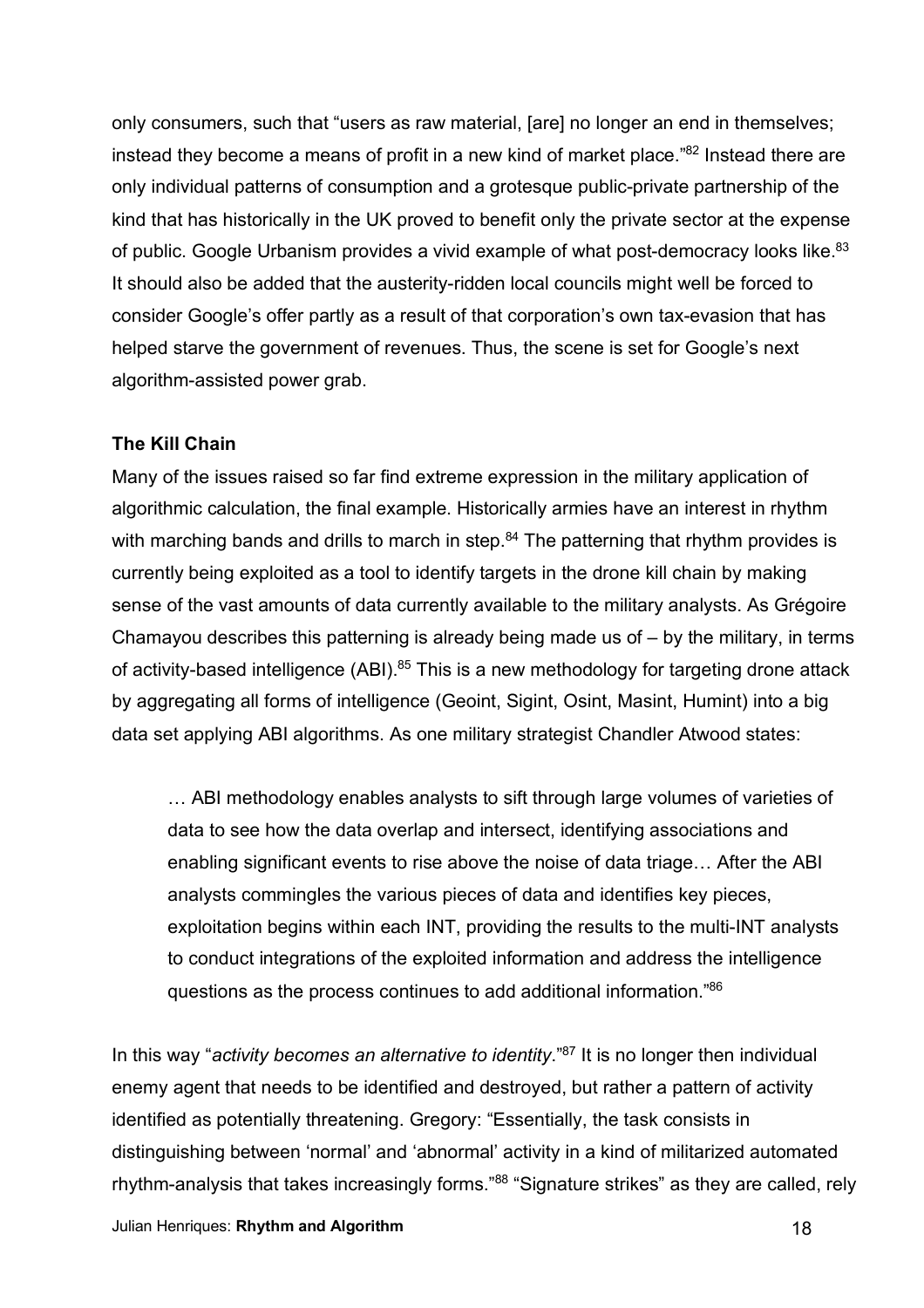only consumers, such that "users as raw material, [are] no longer an end in themselves; instead they become a means of profit in a new kind of market place."<sup>82</sup> Instead there are only individual patterns of consumption and a grotesque public-private partnership of the kind that has historically in the UK proved to benefit only the private sector at the expense of public. Google Urbanism provides a vivid example of what post-democracy looks like.<sup>83</sup> It should also be added that the austerity-ridden local councils might well be forced to consider Google's offer partly as a result of that corporation's own tax-evasion that has helped starve the government of revenues. Thus, the scene is set for Google's next algorithm-assisted power grab.

# **The Kill Chain**

Many of the issues raised so far find extreme expression in the military application of algorithmic calculation, the final example. Historically armies have an interest in rhythm with marching bands and drills to march in step.<sup>84</sup> The patterning that rhythm provides is currently being exploited as a tool to identify targets in the drone kill chain by making sense of the vast amounts of data currently available to the military analysts. As Grégoire Chamayou describes this patterning is already being made us of – by the military, in terms of activity-based intelligence (ABI).<sup>85</sup> This is a new methodology for targeting drone attack by aggregating all forms of intelligence (Geoint, Sigint, Osint, Masint, Humint) into a big data set applying ABI algorithms. As one military strategist Chandler Atwood states:

… ABI methodology enables analysts to sift through large volumes of varieties of data to see how the data overlap and intersect, identifying associations and enabling significant events to rise above the noise of data triage… After the ABI analysts commingles the various pieces of data and identifies key pieces, exploitation begins within each INT, providing the results to the multi-INT analysts to conduct integrations of the exploited information and address the intelligence questions as the process continues to add additional information."86

In this way "*activity becomes an alternative to identity*."87 It is no longer then individual enemy agent that needs to be identified and destroyed, but rather a pattern of activity identified as potentially threatening. Gregory: "Essentially, the task consists in distinguishing between 'normal' and 'abnormal' activity in a kind of militarized automated rhythm-analysis that takes increasingly forms."<sup>88</sup> "Signature strikes" as they are called, rely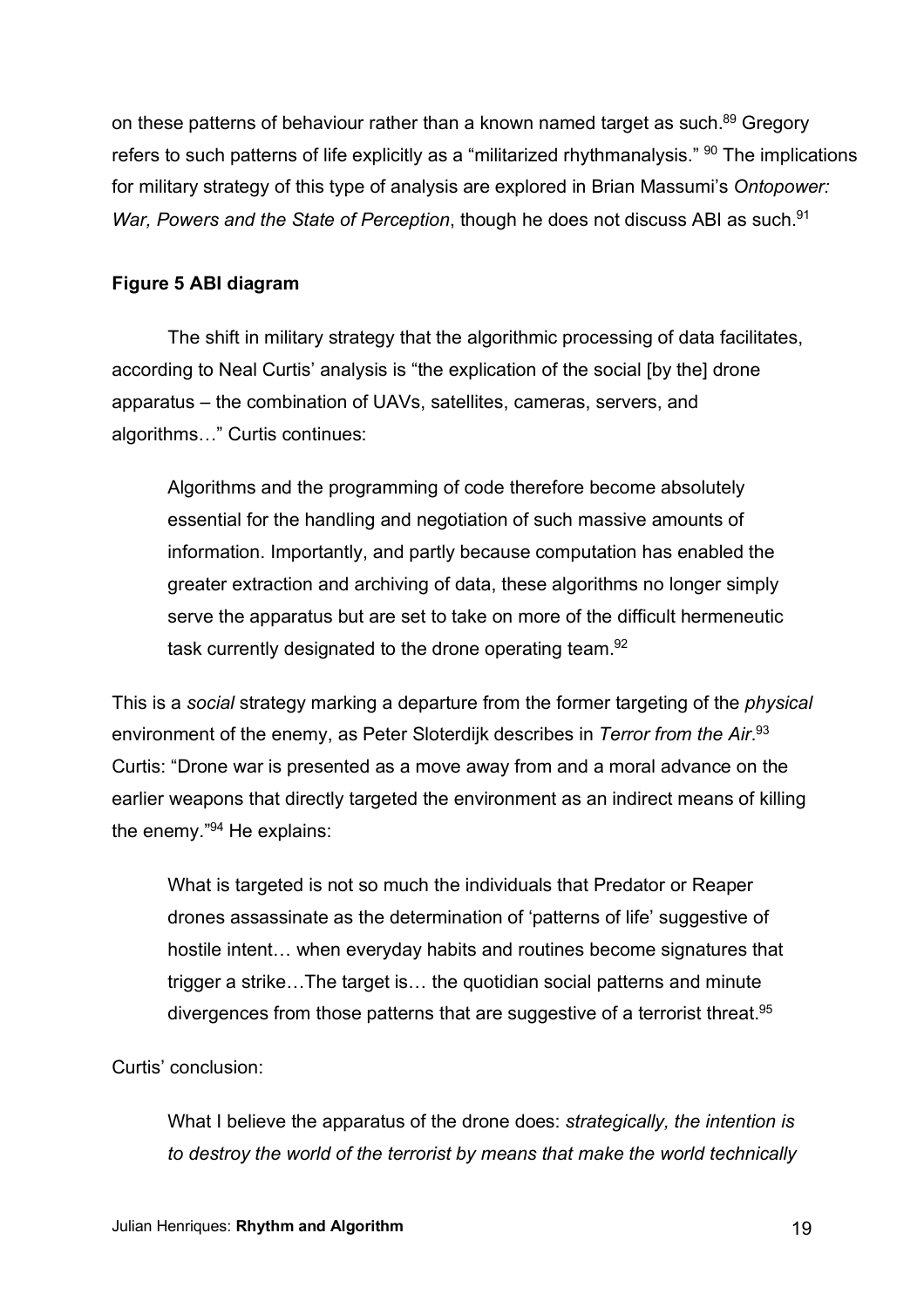on these patterns of behaviour rather than a known named target as such.<sup>89</sup> Gregory refers to such patterns of life explicitly as a "militarized rhythmanalysis."  $90$  The implications for military strategy of this type of analysis are explored in Brian Massumi's *Ontopower: War, Powers and the State of Perception, though he does not discuss ABI as such.*<sup>91</sup>

# **Figure 5 ABI diagram**

The shift in military strategy that the algorithmic processing of data facilitates, according to Neal Curtis' analysis is "the explication of the social [by the] drone apparatus – the combination of UAVs, satellites, cameras, servers, and algorithms…" Curtis continues:

Algorithms and the programming of code therefore become absolutely essential for the handling and negotiation of such massive amounts of information. Importantly, and partly because computation has enabled the greater extraction and archiving of data, these algorithms no longer simply serve the apparatus but are set to take on more of the difficult hermeneutic task currently designated to the drone operating team.92

This is a *social* strategy marking a departure from the former targeting of the *physical* environment of the enemy, as Peter Sloterdijk describes in *Terror from the Air*. 93 Curtis: "Drone war is presented as a move away from and a moral advance on the earlier weapons that directly targeted the environment as an indirect means of killing the enemy." <sup>94</sup> He explains:

What is targeted is not so much the individuals that Predator or Reaper drones assassinate as the determination of 'patterns of life' suggestive of hostile intent… when everyday habits and routines become signatures that trigger a strike…The target is… the quotidian social patterns and minute divergences from those patterns that are suggestive of a terrorist threat.<sup>95</sup>

### Curtis' conclusion:

What I believe the apparatus of the drone does: *strategically, the intention is to destroy the world of the terrorist by means that make the world technically*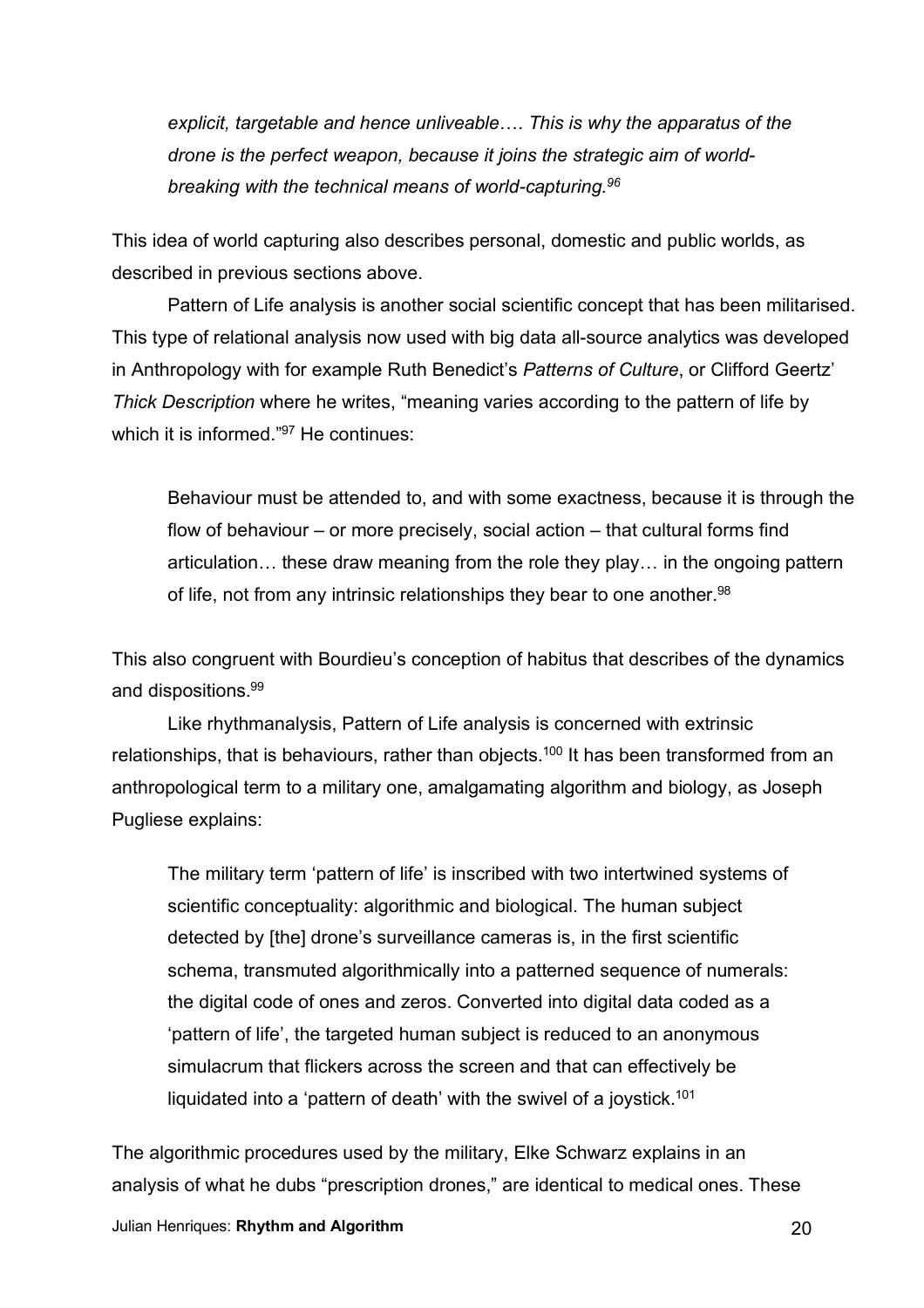*explicit, targetable and hence unliveable*…. *This is why the apparatus of the drone is the perfect weapon, because it joins the strategic aim of worldbreaking with the technical means of world-capturing.96*

This idea of world capturing also describes personal, domestic and public worlds, as described in previous sections above.

Pattern of Life analysis is another social scientific concept that has been militarised. This type of relational analysis now used with big data all-source analytics was developed in Anthropology with for example Ruth Benedict's *Patterns of Culture*, or Clifford Geertz' *Thick Description* where he writes, "meaning varies according to the pattern of life by which it is informed."<sup>97</sup> He continues:

Behaviour must be attended to, and with some exactness, because it is through the flow of behaviour – or more precisely, social action – that cultural forms find articulation… these draw meaning from the role they play… in the ongoing pattern of life, not from any intrinsic relationships they bear to one another.<sup>98</sup>

This also congruent with Bourdieu's conception of habitus that describes of the dynamics and dispositions.99

Like rhythmanalysis, Pattern of Life analysis is concerned with extrinsic relationships, that is behaviours, rather than objects.<sup>100</sup> It has been transformed from an anthropological term to a military one, amalgamating algorithm and biology, as Joseph Pugliese explains:

The military term 'pattern of life' is inscribed with two intertwined systems of scientific conceptuality: algorithmic and biological. The human subject detected by [the] drone's surveillance cameras is, in the first scientific schema, transmuted algorithmically into a patterned sequence of numerals: the digital code of ones and zeros. Converted into digital data coded as a 'pattern of life', the targeted human subject is reduced to an anonymous simulacrum that flickers across the screen and that can effectively be liquidated into a 'pattern of death' with the swivel of a joystick.<sup>101</sup>

The algorithmic procedures used by the military, Elke Schwarz explains in an analysis of what he dubs "prescription drones," are identical to medical ones. These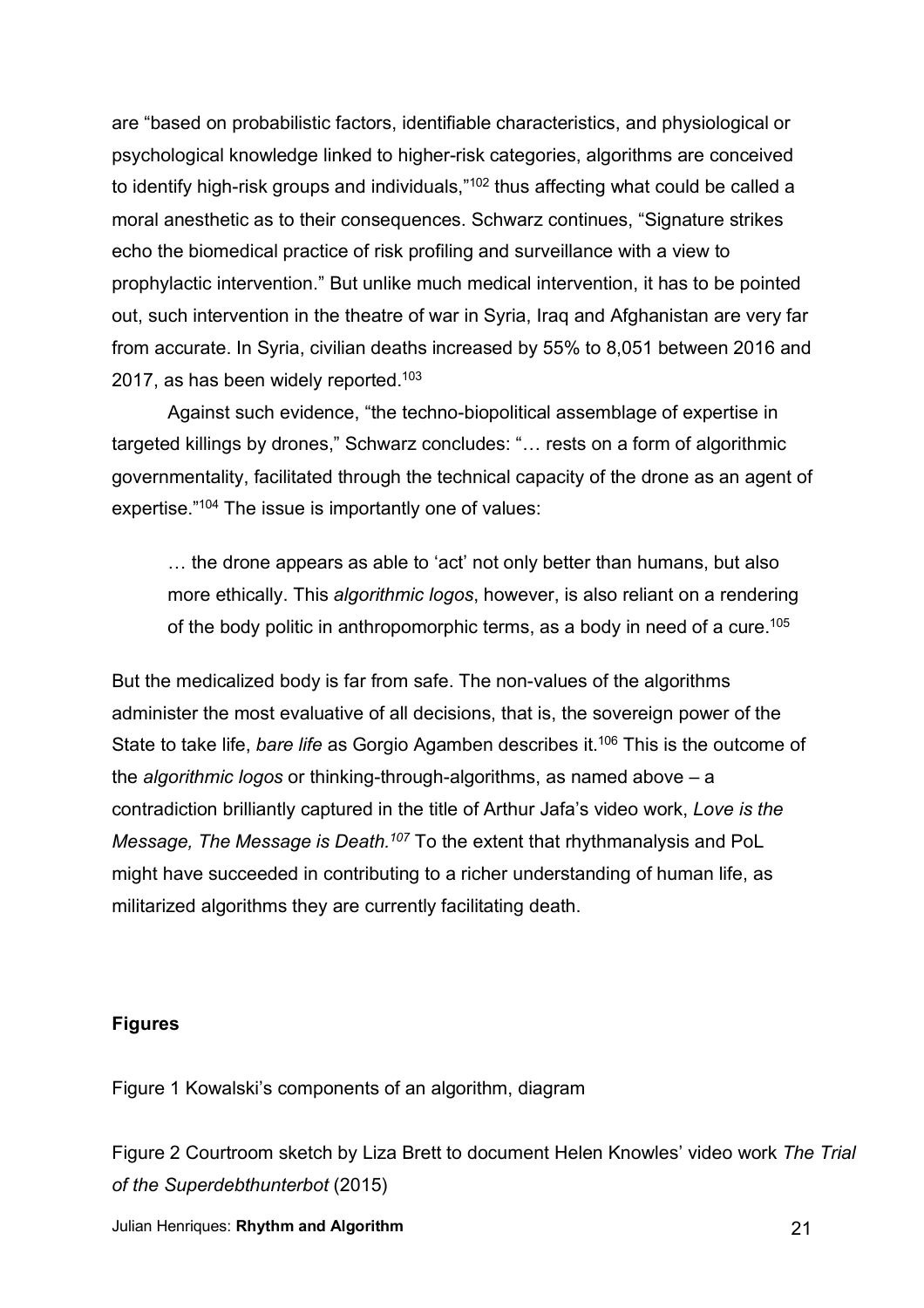are "based on probabilistic factors, identifiable characteristics, and physiological or psychological knowledge linked to higher-risk categories, algorithms are conceived to identify high-risk groups and individuals,"<sup>102</sup> thus affecting what could be called a moral anesthetic as to their consequences. Schwarz continues, "Signature strikes echo the biomedical practice of risk profiling and surveillance with a view to prophylactic intervention." But unlike much medical intervention, it has to be pointed out, such intervention in the theatre of war in Syria, Iraq and Afghanistan are very far from accurate. In Syria, civilian deaths increased by 55% to 8,051 between 2016 and 2017, as has been widely reported. $103$ 

Against such evidence, "the techno-biopolitical assemblage of expertise in targeted killings by drones," Schwarz concludes: "… rests on a form of algorithmic governmentality, facilitated through the technical capacity of the drone as an agent of expertise."<sup>104</sup> The issue is importantly one of values:

… the drone appears as able to 'act' not only better than humans, but also more ethically. This *algorithmic logos*, however, is also reliant on a rendering of the body politic in anthropomorphic terms, as a body in need of a cure.<sup>105</sup>

But the medicalized body is far from safe. The non-values of the algorithms administer the most evaluative of all decisions, that is, the sovereign power of the State to take life, *bare life* as Gorgio Agamben describes it. <sup>106</sup> This is the outcome of the *algorithmic logos* or thinking-through-algorithms, as named above – a contradiction brilliantly captured in the title of Arthur Jafa's video work, *Love is the Message, The Message is Death.107* To the extent that rhythmanalysis and PoL might have succeeded in contributing to a richer understanding of human life, as militarized algorithms they are currently facilitating death.

### **Figures**

Figure 1 Kowalski's components of an algorithm, diagram

Figure 2 Courtroom sketch by Liza Brett to document Helen Knowles' video work *The Trial of the Superdebthunterbot* (2015)

Julian Henriques: **Rhythm and Algorithm** 21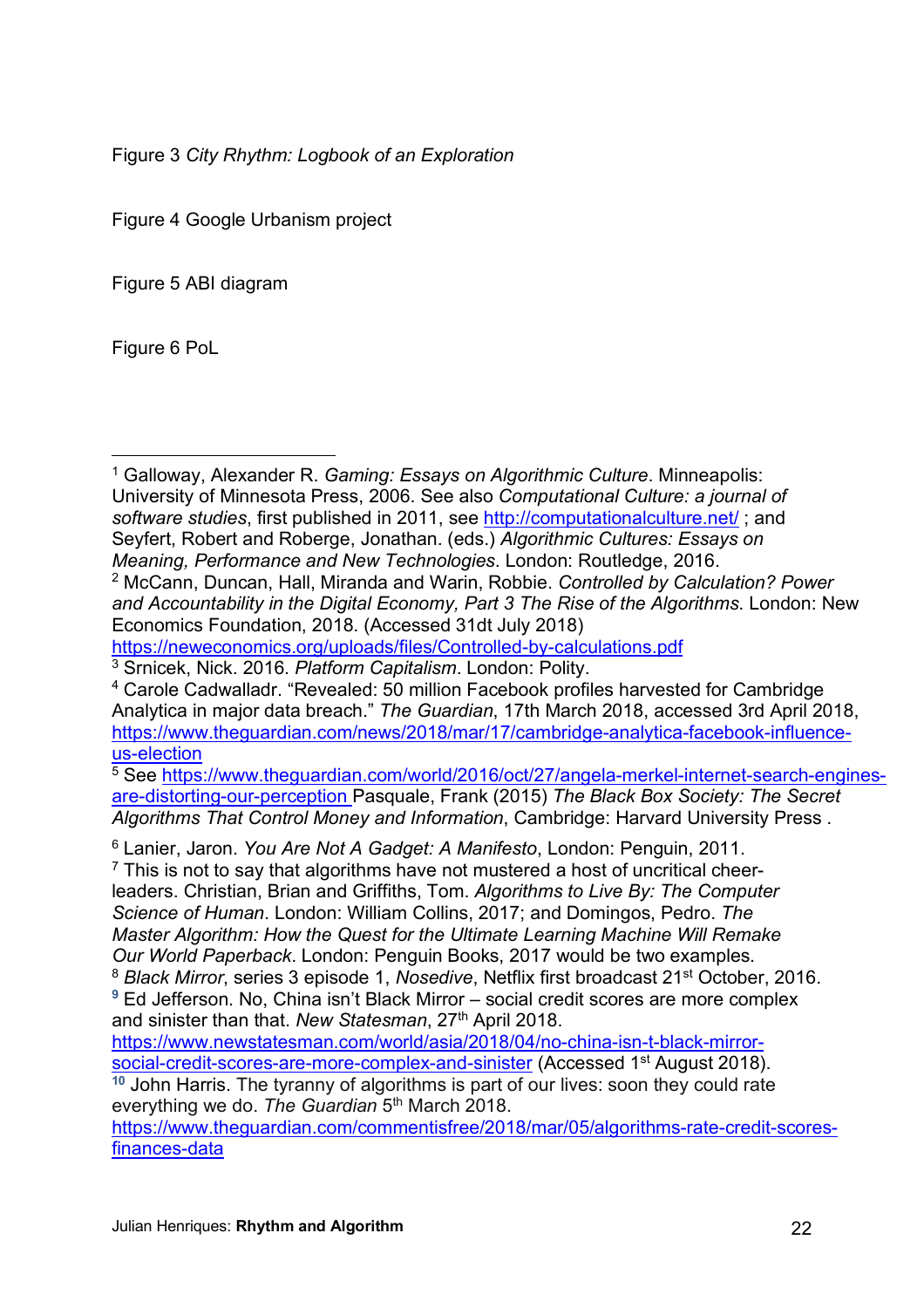Figure 3 *City Rhythm: Logbook of an Exploration*

Figure 4 Google Urbanism project

Figure 5 ABI diagram

Figure 6 PoL

 $\overline{a}$ 

<sup>1</sup> Galloway, Alexander R. *Gaming: Essays on Algorithmic Culture*. Minneapolis: University of Minnesota Press, 2006. See also *Computational Culture: a journal of software studies*, first published in 2011, see http://computationalculture.net/ ; and Seyfert, Robert and Roberge, Jonathan. (eds.) *Algorithmic Cultures: Essays on Meaning, Performance and New Technologies*. London: Routledge, 2016. <sup>2</sup> McCann, Duncan, Hall, Miranda and Warin, Robbie. *Controlled by Calculation? Power and Accountability in the Digital Economy, Part 3 The Rise of the Algorithms*. London: New Economics Foundation, 2018. (Accessed 31dt July 2018)

https://neweconomics.org/uploads/files/Controlled-by-calculations.pdf

<sup>3</sup> Srnicek, Nick. 2016. *Platform Capitalism*. London: Polity.

are-distorting-our-perception Pasquale, Frank (2015) *The Black Box Society: The Secret Algorithms That Control Money and Information*, Cambridge: Harvard University Press .

<sup>6</sup> Lanier, Jaron. *You Are Not A Gadget: A Manifesto*, London: Penguin, 2011.

 $7$  This is not to say that algorithms have not mustered a host of uncritical cheerleaders. Christian, Brian and Griffiths, Tom. *Algorithms to Live By: The Computer Science of Human*. London: William Collins, 2017; and Domingos, Pedro. *The Master Algorithm: How the Quest for the Ultimate Learning Machine Will Remake Our World Paperback*. London: Penguin Books, 2017 would be two examples. <sup>8</sup> *Black Mirror*, series 3 episode 1, *Nosedive*, Netflix first broadcast 21st October, 2016.

<sup>4</sup> Carole Cadwalladr. "Revealed: 50 million Facebook profiles harvested for Cambridge Analytica in major data breach." *The Guardian*, 17th March 2018, accessed 3rd April 2018, https://www.theguardian.com/news/2018/mar/17/cambridge-analytica-facebook-influenceus-election<br><sup>5</sup> See https://www.theguardian.com/world/2016/oct/27/angela-merkel-internet-search-engines-

**<sup>9</sup>** Ed Jefferson. No, China isn't Black Mirror – social credit scores are more complex and sinister than that. *New Statesman*, 27th April 2018.

https://www.newstatesman.com/world/asia/2018/04/no-china-isn-t-black-mirrorsocial-credit-scores-are-more-complex-and-sinister (Accessed 1<sup>st</sup> August 2018). **<sup>10</sup>** John Harris. The tyranny of algorithms is part of our lives: soon they could rate

everything we do. *The Guardian* 5th March 2018.

https://www.theguardian.com/commentisfree/2018/mar/05/algorithms-rate-credit-scoresfinances-data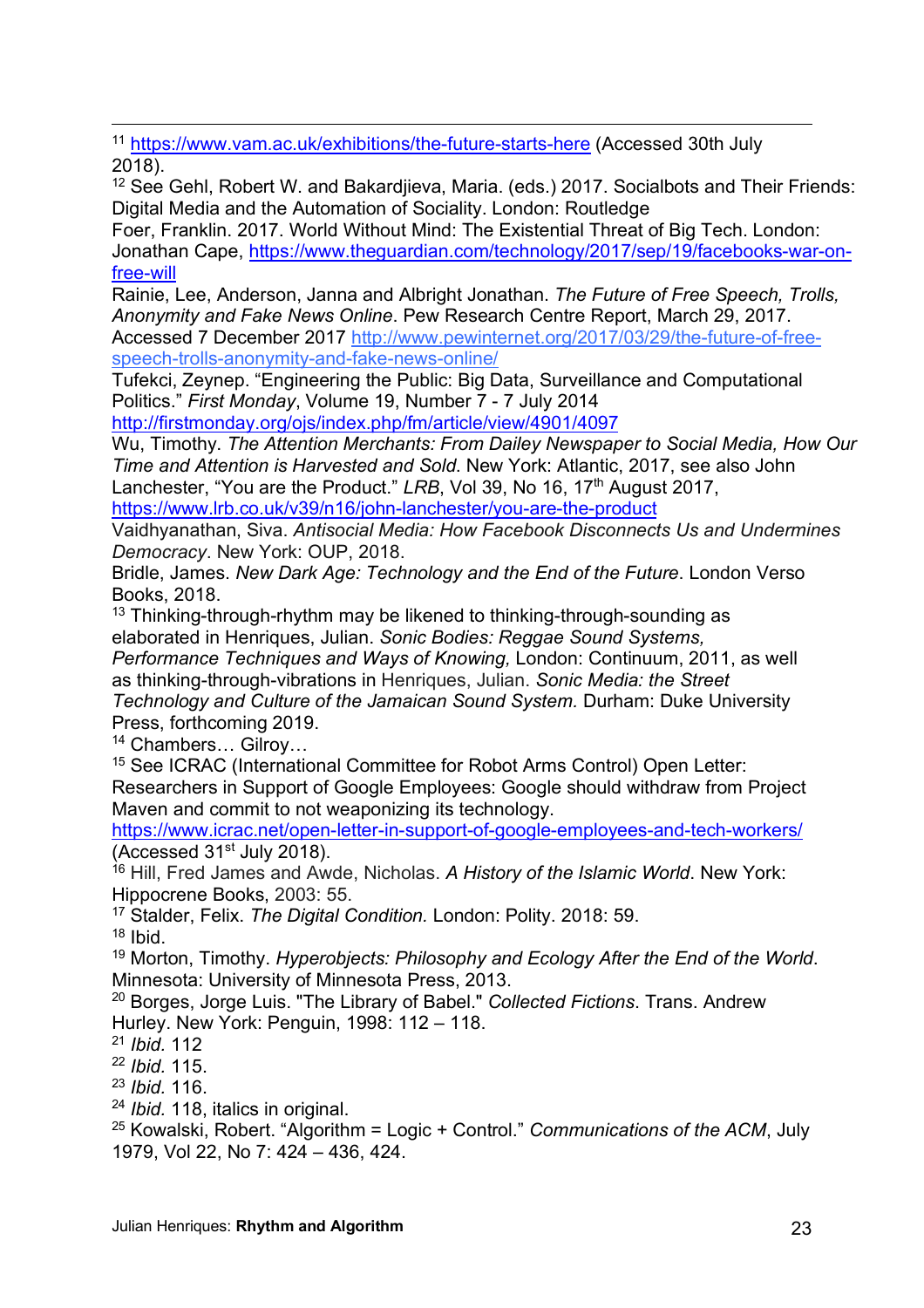$\overline{a}$ <sup>11</sup> https://www.vam.ac.uk/exhibitions/the-future-starts-here (Accessed 30th July 2018).

<sup>12</sup> See Gehl, Robert W. and Bakardjieva, Maria. (eds.) 2017. Socialbots and Their Friends: Digital Media and the Automation of Sociality. London: Routledge

Foer, Franklin. 2017. World Without Mind: The Existential Threat of Big Tech. London: Jonathan Cape, https://www.theguardian.com/technology/2017/sep/19/facebooks-war-onfree-will

Rainie, Lee, Anderson, Janna and Albright Jonathan. *The Future of Free Speech, Trolls, Anonymity and Fake News Online*. Pew Research Centre Report, March 29, 2017. Accessed 7 December 2017 http://www.pewinternet.org/2017/03/29/the-future-of-free-

speech-trolls-anonymity-and-fake-news-online/

Tufekci, Zeynep. "Engineering the Public: Big Data, Surveillance and Computational Politics." *First Monday*, Volume 19, Number 7 - 7 July 2014

http://firstmonday.org/ojs/index.php/fm/article/view/4901/4097

Wu, Timothy. *The Attention Merchants: From Dailey Newspaper to Social Media, How Our Time and Attention is Harvested and Sold*. New York: Atlantic, 2017, see also John Lanchester, "You are the Product." LRB, Vol 39, No 16, 17<sup>th</sup> August 2017, https://www.lrb.co.uk/v39/n16/john-lanchester/you-are-the-product

Vaidhyanathan, Siva. *Antisocial Media: How Facebook Disconnects Us and Undermines Democracy*. New York: OUP, 2018.

Bridle, James. *New Dark Age: Technology and the End of the Future*. London Verso Books, 2018.

 $13$  Thinking-through-rhythm may be likened to thinking-through-sounding as elaborated in Henriques, Julian. *Sonic Bodies: Reggae Sound Systems,* 

*Performance Techniques and Ways of Knowing,* London: Continuum, 2011, as well as thinking-through-vibrations in Henriques, Julian. *Sonic Media: the Street Technology and Culture of the Jamaican Sound System.* Durham: Duke University Press, forthcoming 2019.

<sup>14</sup> Chambers… Gilroy…

<sup>15</sup> See ICRAC (International Committee for Robot Arms Control) Open Letter: Researchers in Support of Google Employees: Google should withdraw from Project Maven and commit to not weaponizing its technology.

https://www.icrac.net/open-letter-in-support-of-google-employees-and-tech-workers/ (Accessed 31st July 2018).

<sup>16</sup> Hill, Fred James and Awde, Nicholas. *A History of the Islamic World*. New York: Hippocrene Books, 2003: 55.

<sup>17</sup> Stalder, Felix. *The Digital Condition.* London: Polity. 2018: 59.

 $18$  Ibid.

<sup>19</sup> Morton, Timothy. *Hyperobjects: Philosophy and Ecology After the End of the World*. Minnesota: University of Minnesota Press, 2013.

<sup>20</sup> Borges, Jorge Luis. "The Library of Babel." *Collected Fictions*. Trans. Andrew Hurley. New York: Penguin, 1998: 112 – 118.

<sup>21</sup> *Ibid.* 112

<sup>22</sup> *Ibid.* 115.

<sup>23</sup> *Ibid.* 116.

<sup>24</sup> *Ibid.* 118, italics in original.

<sup>25</sup> Kowalski, Robert. "Algorithm = Logic + Control." *Communications of the ACM*, July 1979, Vol 22, No 7: 424 – 436, 424.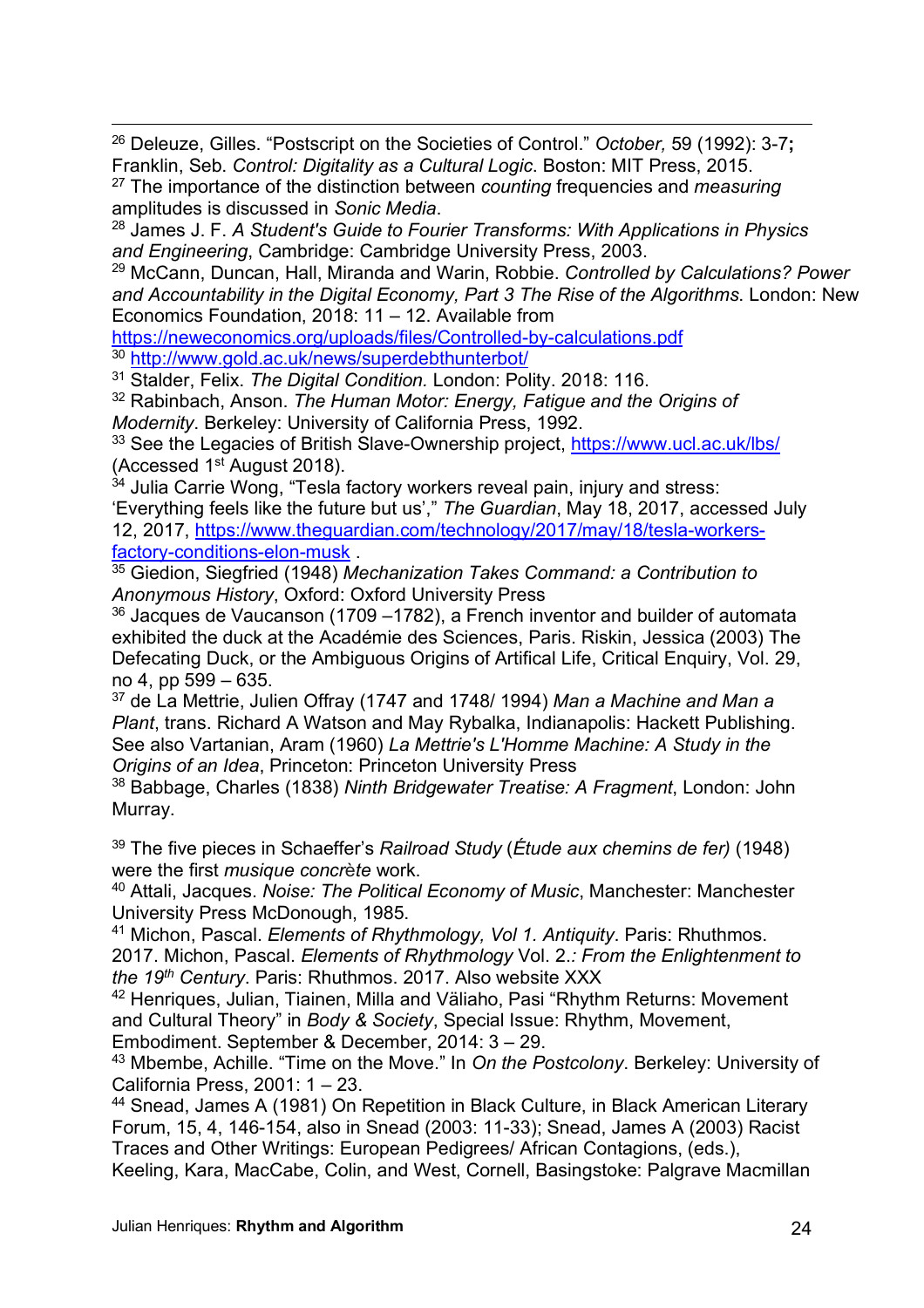$\overline{a}$ <sup>26</sup> Deleuze, Gilles. "Postscript on the Societies of Control." *October,* 59 (1992): 3-7**;**  Franklin, Seb. *Control: Digitality as a Cultural Logic*. Boston: MIT Press, 2015.

<sup>27</sup> The importance of the distinction between *counting* frequencies and *measuring* amplitudes is discussed in *Sonic Media*.

<sup>28</sup> James J. F. *A Student's Guide to Fourier Transforms: With Applications in Physics and Engineering*, Cambridge: Cambridge University Press, 2003.

<sup>29</sup> McCann, Duncan, Hall, Miranda and Warin, Robbie. *Controlled by Calculations? Power and Accountability in the Digital Economy, Part 3 The Rise of the Algorithms*. London: New Economics Foundation, 2018: 11 – 12. Available from

https://neweconomics.org/uploads/files/Controlled-by-calculations.pdf

<sup>30</sup> http://www.gold.ac.uk/news/superdebthunterbot/

<sup>31</sup> Stalder, Felix. *The Digital Condition.* London: Polity. 2018: 116.

<sup>32</sup> Rabinbach, Anson. *The Human Motor: Energy, Fatigue and the Origins of Modernity*. Berkeley: University of California Press, 1992.

<sup>33</sup> See the Legacies of British Slave-Ownership project, https://www.ucl.ac.uk/lbs/ (Accessed 1<sup>st</sup> August 2018).

 $34$  Julia Carrie Wong, "Tesla factory workers reveal pain, injury and stress: 'Everything feels like the future but us'," *The Guardian*, May 18, 2017, accessed July 12, 2017, https://www.theguardian.com/technology/2017/may/18/tesla-workers-

factory-conditions-elon-musk .

<sup>35</sup> Giedion, Siegfried (1948) *Mechanization Takes Command: a Contribution to Anonymous History*, Oxford: Oxford University Press

 $36$  Jacques de Vaucanson (1709 –1782), a French inventor and builder of automata exhibited the duck at the Académie des Sciences, Paris. Riskin, Jessica (2003) The Defecating Duck, or the Ambiguous Origins of Artifical Life, Critical Enquiry, Vol. 29, no 4, pp 599 – 635.

<sup>37</sup> de La Mettrie, Julien Offray (1747 and 1748/ 1994) *Man a Machine and Man a Plant*, trans. Richard A Watson and May Rybalka, Indianapolis: Hackett Publishing. See also Vartanian, Aram (1960) *La Mettrie's L'Homme Machine: A Study in the Origins of an Idea*, Princeton: Princeton University Press

<sup>38</sup> Babbage, Charles (1838) *Ninth Bridgewater Treatise: A Fragment*, London: John Murray.

<sup>39</sup> The five pieces in Schaeffer's *Railroad Study* (*Étude aux chemins de fer)* (1948) were the first *musique concr*è*te* work.

<sup>40</sup> Attali, Jacques. *Noise: The Political Economy of Music*, Manchester: Manchester University Press McDonough, 1985.

<sup>41</sup> Michon, Pascal. *Elements of Rhythmology, Vol 1. Antiquity*. Paris: Rhuthmos. 2017. Michon, Pascal. *Elements of Rhythmology* Vol. 2.*: From the Enlightenment to the 19th Century*. Paris: Rhuthmos. 2017. Also website XXX

<sup>42</sup> Henriques, Julian, Tiainen, Milla and Väliaho, Pasi "Rhythm Returns: Movement and Cultural Theory" in *Body & Society*, Special Issue: Rhythm, Movement, Embodiment. September & December, 2014: 3 – 29.

<sup>43</sup> Mbembe, Achille. "Time on the Move." In *On the Postcolony*. Berkeley: University of California Press, 2001: 1 – 23.

<sup>44</sup> Snead, James A (1981) On Repetition in Black Culture, in Black American Literary Forum, 15, 4, 146-154, also in Snead (2003: 11-33); Snead, James A (2003) Racist Traces and Other Writings: European Pedigrees/ African Contagions, (eds.),

Keeling, Kara, MacCabe, Colin, and West, Cornell, Basingstoke: Palgrave Macmillan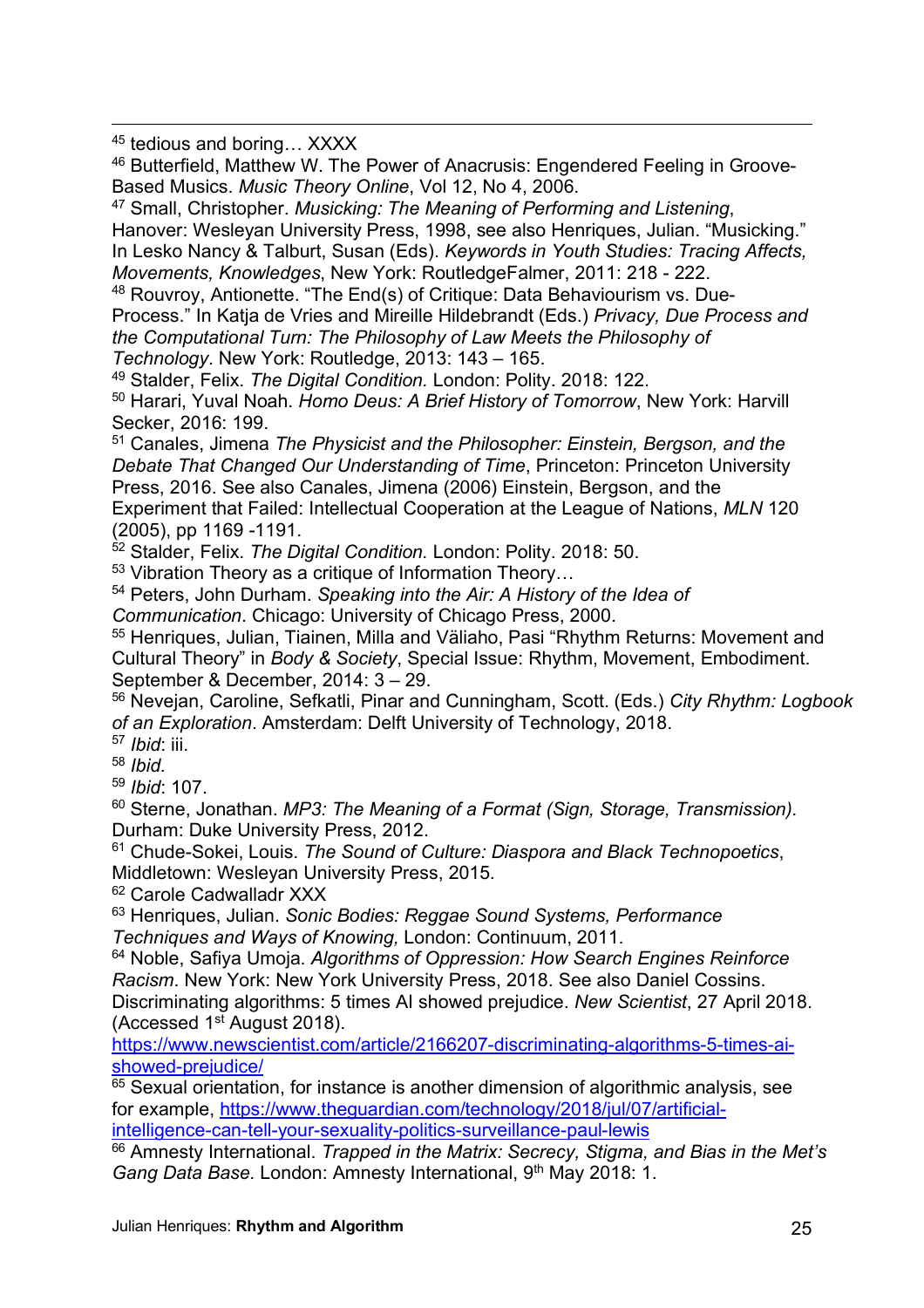$\overline{a}$ <sup>45</sup> tedious and boring… XXXX

<sup>46</sup> Butterfield, Matthew W. The Power of Anacrusis: Engendered Feeling in Groove-Based Musics. *Music Theory Online*, Vol 12, No 4, 2006.

<sup>47</sup> Small, Christopher. *Musicking: The Meaning of Performing and Listening*,

Hanover: Wesleyan University Press, 1998, see also Henriques, Julian. "Musicking." In Lesko Nancy & Talburt, Susan (Eds). *Keywords in Youth Studies: Tracing Affects, Movements, Knowledges*, New York: RoutledgeFalmer, 2011: 218 - 222.

<sup>48</sup> Rouvroy, Antionette. "The End(s) of Critique: Data Behaviourism vs. Due-Process." In Katja de Vries and Mireille Hildebrandt (Eds.) *Privacy, Due Process and the Computational Turn: The Philosophy of Law Meets the Philosophy of Technology*. New York: Routledge, 2013: 143 – 165.

<sup>49</sup> Stalder, Felix. *The Digital Condition.* London: Polity. 2018: 122. <sup>50</sup> Harari, Yuval Noah. *Homo Deus: A Brief History of Tomorrow*, New York: Harvill Secker, 2016: 199.

<sup>51</sup> Canales, Jimena *The Physicist and the Philosopher: Einstein, Bergson, and the Debate That Changed Our Understanding of Time*, Princeton: Princeton University Press, 2016. See also Canales, Jimena (2006) Einstein, Bergson, and the Experiment that Failed: Intellectual Cooperation at the League of Nations, *MLN* 120 (2005), pp 1169 -1191.

<sup>52</sup> Stalder, Felix. *The Digital Condition.* London: Polity. 2018: 50.

53 Vibration Theory as a critique of Information Theory...

<sup>54</sup> Peters, John Durham. *Speaking into the Air: A History of the Idea of* 

*Communication*. Chicago: University of Chicago Press, 2000.

<sup>55</sup> Henriques, Julian, Tiainen, Milla and Väliaho, Pasi "Rhythm Returns: Movement and Cultural Theory" in *Body & Society*, Special Issue: Rhythm, Movement, Embodiment. September & December, 2014: 3 – 29.

<sup>56</sup> Nevejan, Caroline, Sefkatli, Pinar and Cunningham, Scott. (Eds.) *City Rhythm: Logbook of an Exploration*. Amsterdam: Delft University of Technology, 2018.

<sup>57</sup> *Ibid*: iii.

<sup>58</sup> *Ibid.*

<sup>59</sup> *Ibid*: 107.

<sup>60</sup> Sterne, Jonathan. *MP3: The Meaning of a Format (Sign, Storage, Transmission).*  Durham: Duke University Press, 2012.

<sup>61</sup> Chude-Sokei, Louis. *The Sound of Culture: Diaspora and Black Technopoetics*, Middletown: Wesleyan University Press, 2015.

<sup>62</sup> Carole Cadwalladr XXX

<sup>63</sup> Henriques, Julian. *Sonic Bodies: Reggae Sound Systems, Performance Techniques and Ways of Knowing,* London: Continuum, 2011.

<sup>64</sup> Noble, Safiya Umoja. *Algorithms of Oppression: How Search Engines Reinforce Racism*. New York: New York University Press, 2018. See also Daniel Cossins. Discriminating algorithms: 5 times AI showed prejudice. *New Scientist*, 27 April 2018. (Accessed 1st August 2018).

https://www.newscientist.com/article/2166207-discriminating-algorithms-5-times-aishowed-prejudice/

 $65$  Sexual orientation, for instance is another dimension of algorithmic analysis, see for example, https://www.theguardian.com/technology/2018/jul/07/artificialintelligence-can-tell-your-sexuality-politics-surveillance-paul-lewis

<sup>66</sup> Amnesty International. *Trapped in the Matrix: Secrecy, Stigma, and Bias in the Met's*  Gang Data Base. London: Amnesty International, 9<sup>th</sup> May 2018: 1.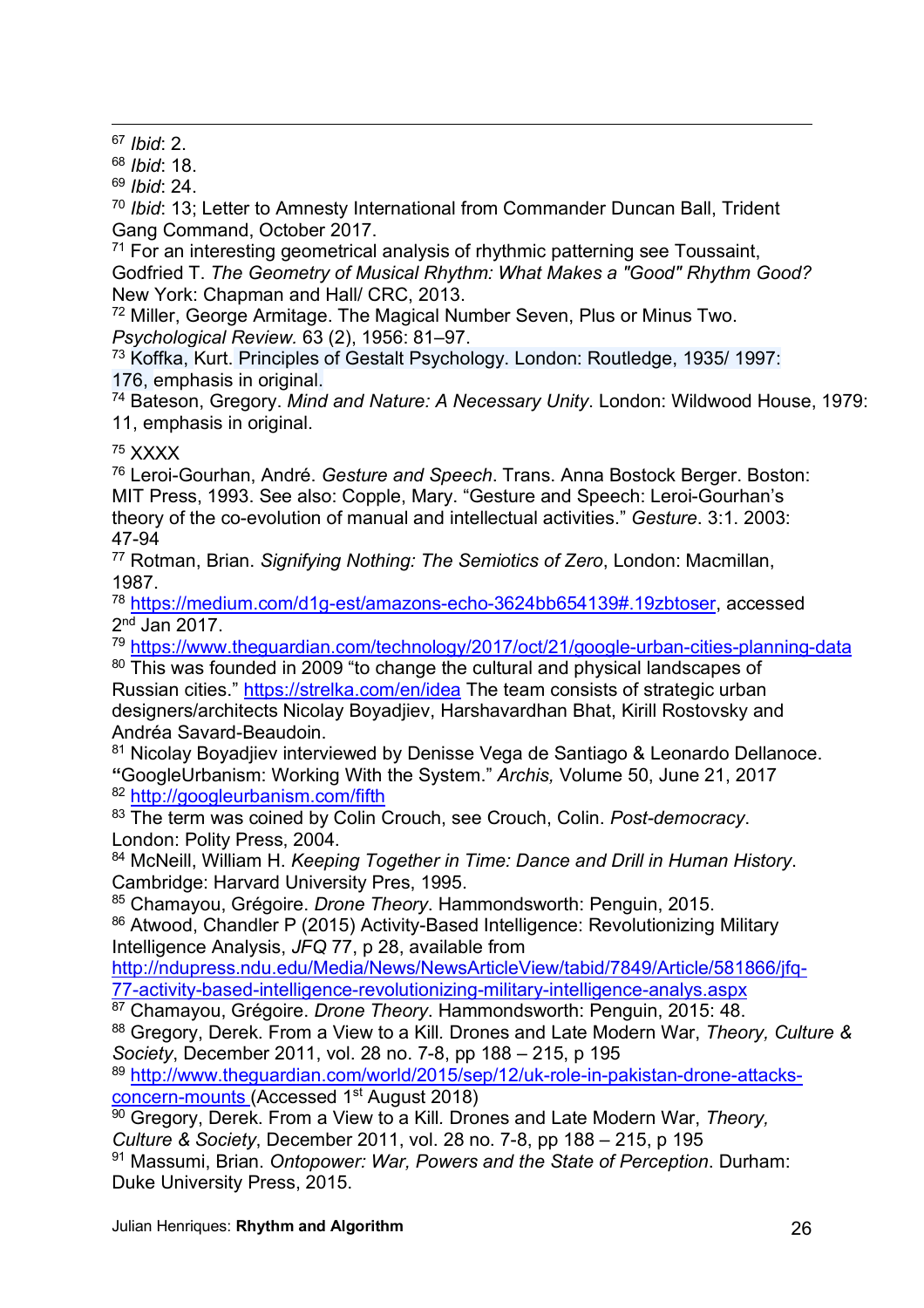$\overline{a}$ <sup>67</sup> *Ibid*: 2.

<sup>68</sup> *Ibid*: 18.

<sup>69</sup> *Ibid*: 24.

<sup>70</sup> *Ibid*: 13; Letter to Amnesty International from Commander Duncan Ball, Trident Gang Command, October 2017.

 $71$  For an interesting geometrical analysis of rhythmic patterning see Toussaint, Godfried T. *The Geometry of Musical Rhythm: What Makes a "Good" Rhythm Good?*  New York: Chapman and Hall/ CRC, 2013.

<sup>72</sup> Miller, George Armitage. The Magical Number Seven, Plus or Minus Two. *Psychological Review.* 63 (2), 1956: 81–97.

<sup>73</sup> Koffka, Kurt. Principles of Gestalt Psychology. London: Routledge, 1935/ 1997: 176, emphasis in original.

<sup>74</sup> Bateson, Gregory. *Mind and Nature: A Necessary Unity*. London: Wildwood House, 1979: 11, emphasis in original.

<sup>75</sup> XXXX

<sup>76</sup> Leroi-Gourhan, André. *Gesture and Speech*. Trans. Anna Bostock Berger. Boston: MIT Press, 1993. See also: Copple, Mary. "Gesture and Speech: Leroi-Gourhan's theory of the co-evolution of manual and intellectual activities." *Gesture*. 3:1. 2003: 47-94

<sup>77</sup> Rotman, Brian. *Signifying Nothing: The Semiotics of Zero*, London: Macmillan, 1987.

<sup>78</sup> https://medium.com/d1g-est/amazons-echo-3624bb654139#.19zbtoser, accessed 2nd Jan 2017.

<sup>79</sup> https://www.theguardian.com/technology/2017/oct/21/google-urban-cities-planning-data

80 This was founded in 2009 "to change the cultural and physical landscapes of Russian cities." https://strelka.com/en/idea The team consists of strategic urban designers/architects Nicolay Boyadjiev, Harshavardhan Bhat, Kirill Rostovsky and Andréa Savard-Beaudoin.

<sup>81</sup> Nicolay Boyadjiev interviewed by Denisse Vega de Santiago & Leonardo Dellanoce. **"**GoogleUrbanism: Working With the System." *Archis,* Volume 50, June 21, 2017 <sup>82</sup> http://googleurbanism.com/fifth

<sup>83</sup> The term was coined by Colin Crouch, see Crouch, Colin. *Post-democracy*. London: Polity Press, 2004.

<sup>84</sup> McNeill, William H. *Keeping Together in Time: Dance and Drill in Human History*. Cambridge: Harvard University Pres, 1995.

<sup>85</sup> Chamayou, Grégoire. *Drone Theory*. Hammondsworth: Penguin, 2015.

86 Atwood, Chandler P (2015) Activity-Based Intelligence: Revolutionizing Military Intelligence Analysis, *JFQ* 77, p 28, available from

http://ndupress.ndu.edu/Media/News/NewsArticleView/tabid/7849/Article/581866/jfq-77-activity-based-intelligence-revolutionizing-military-intelligence-analys.aspx

<sup>87</sup> Chamayou, Grégoire. *Drone Theory*. Hammondsworth: Penguin, 2015: 48.

<sup>88</sup> Gregory, Derek. From a View to a Kill*.* Drones and Late Modern War, *Theory, Culture & Society*, December 2011, vol. 28 no. 7-8, pp 188 – 215, p 195

<sup>89</sup> http://www.theguardian.com/world/2015/sep/12/uk-role-in-pakistan-drone-attacksconcern-mounts (Accessed 1st August 2018)

<sup>90</sup> Gregory, Derek. From a View to a Kill*.* Drones and Late Modern War, *Theory, Culture & Society*, December 2011, vol. 28 no. 7-8, pp 188 – 215, p 195

<sup>91</sup> Massumi, Brian. *Ontopower: War, Powers and the State of Perception*. Durham: Duke University Press, 2015.